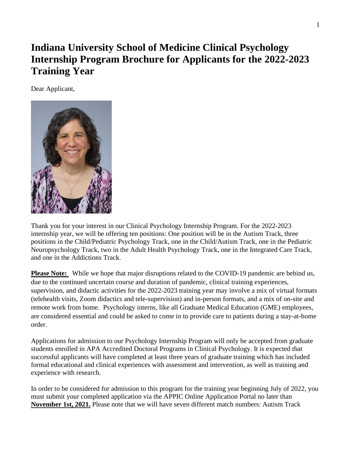# **Indiana University School of Medicine Clinical Psychology Internship Program Brochure for Applicants for the 2022-2023 Training Year**

Dear Applicant,



Thank you for your interest in our Clinical Psychology Internship Program. For the 2022-2023 internship year, we will be offering ten positions: One position will be in the Autism Track, three positions in the Child/Pediatric Psychology Track, one in the Child/Autism Track, one in the Pediatric Neuropsychology Track, two in the Adult Health Psychology Track, one in the Integrated Care Track, and one in the Addictions Track.

**Please Note:** While we hope that major disruptions related to the COVID-19 pandemic are behind us, due to the continued uncertain course and duration of pandemic, clinical training experiences, supervision, and didactic activities for the 2022-2023 training year may involve a mix of virtual formats (telehealth visits, Zoom didactics and tele-supervision) and in-person formats, and a mix of on-site and remote work from home. Psychology interns, like all Graduate Medical Education (GME) employees, are considered essential and could be asked to come in to provide care to patients during a stay-at-home order.

Applications for admission to our Psychology Internship Program will only be accepted from graduate students enrolled in APA Accredited Doctoral Programs in Clinical Psychology. It is expected that successful applicants will have completed at least three years of graduate training which has included formal educational and clinical experiences with assessment and intervention, as well as training and experience with research.

In order to be considered for admission to this program for the training year beginning July of 2022, you must submit your completed application via the APPIC Online Application Portal no later than **November 1st, 2021.** Please note that we will have seven different match numbers: Autism Track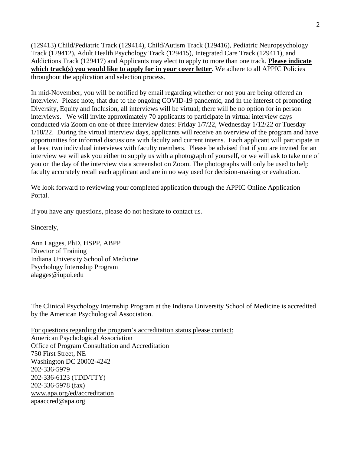(129413) Child/Pediatric Track (129414), Child/Autism Track (129416), Pediatric Neuropsychology Track (129412), Adult Health Psychology Track (129415), Integrated Care Track (129411), and Addictions Track (129417) and Applicants may elect to apply to more than one track. **Please indicate which track(s) you would like to apply for in your cover letter**. We adhere to all APPIC Policies throughout the application and selection process.

In mid-November, you will be notified by email regarding whether or not you are being offered an interview. Please note, that due to the ongoing COVID-19 pandemic, and in the interest of promoting Diversity, Equity and Inclusion, all interviews will be virtual; there will be no option for in person interviews. We will invite approximately 70 applicants to participate in virtual interview days conducted via Zoom on one of three interview dates: Friday 1/7/22, Wednesday 1/12/22 or Tuesday 1/18/22. During the virtual interview days, applicants will receive an overview of the program and have opportunities for informal discussions with faculty and current interns. Each applicant will participate in at least two individual interviews with faculty members. Please be advised that if you are invited for an interview we will ask you either to supply us with a photograph of yourself, or we will ask to take one of you on the day of the interview via a screenshot on Zoom. The photographs will only be used to help faculty accurately recall each applicant and are in no way used for decision-making or evaluation.

We look forward to reviewing your completed application through the APPIC Online Application Portal.

If you have any questions, please do not hesitate to contact us.

Sincerely,

Ann Lagges, PhD, HSPP, ABPP Director of Training Indiana University School of Medicine Psychology Internship Program [alagges@iupui.edu](mailto:alagges@iupui.edu)

The Clinical Psychology Internship Program at the Indiana University School of Medicine is accredited by the American Psychological Association.

For questions regarding the program's accreditation status please contact: American Psychological Association Office of Program Consultation and Accreditation 750 First Street, NE Washington DC 20002-4242 202-336-5979 202-336-6123 (TDD/TTY) 202-336-5978 (fax) [www.apa.org/ed/accreditation](http://www.apa.org/ed/accreditation) apaaccred@apa.org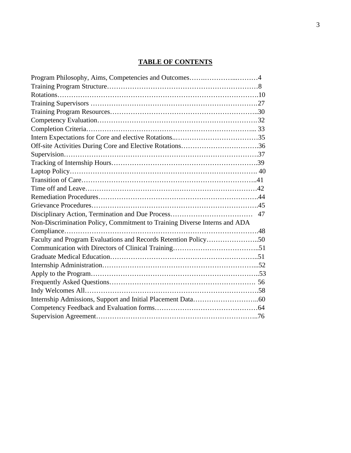# **TABLE OF CONTENTS**

| Program Philosophy, Aims, Competencies and Outcomes4                      |  |
|---------------------------------------------------------------------------|--|
|                                                                           |  |
|                                                                           |  |
|                                                                           |  |
|                                                                           |  |
|                                                                           |  |
|                                                                           |  |
|                                                                           |  |
| Off-site Activities During Core and Elective Rotations36                  |  |
|                                                                           |  |
|                                                                           |  |
|                                                                           |  |
|                                                                           |  |
|                                                                           |  |
|                                                                           |  |
|                                                                           |  |
|                                                                           |  |
| Non-Discrimination Policy, Commitment to Training Diverse Interns and ADA |  |
|                                                                           |  |
| Faculty and Program Evaluations and Records Retention Policy50            |  |
|                                                                           |  |
|                                                                           |  |
|                                                                           |  |
|                                                                           |  |
|                                                                           |  |
|                                                                           |  |
|                                                                           |  |
|                                                                           |  |
|                                                                           |  |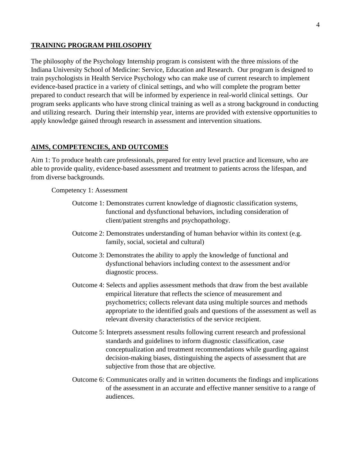#### **TRAINING PROGRAM PHILOSOPHY**

The philosophy of the Psychology Internship program is consistent with the three missions of the Indiana University School of Medicine: Service, Education and Research. Our program is designed to train psychologists in Health Service Psychology who can make use of current research to implement evidence-based practice in a variety of clinical settings, and who will complete the program better prepared to conduct research that will be informed by experience in real-world clinical settings. Our program seeks applicants who have strong clinical training as well as a strong background in conducting and utilizing research. During their internship year, interns are provided with extensive opportunities to apply knowledge gained through research in assessment and intervention situations.

#### **AIMS, COMPETENCIES, AND OUTCOMES**

Aim 1: To produce health care professionals, prepared for entry level practice and licensure, who are able to provide quality, evidence-based assessment and treatment to patients across the lifespan, and from diverse backgrounds.

Competency 1: Assessment

- Outcome 1: Demonstrates current knowledge of diagnostic classification systems, functional and dysfunctional behaviors, including consideration of client/patient strengths and psychopathology.
- Outcome 2: Demonstrates understanding of human behavior within its context (e.g. family, social, societal and cultural)
- Outcome 3: Demonstrates the ability to apply the knowledge of functional and dysfunctional behaviors including context to the assessment and/or diagnostic process.
- Outcome 4: Selects and applies assessment methods that draw from the best available empirical literature that reflects the science of measurement and psychometrics; collects relevant data using multiple sources and methods appropriate to the identified goals and questions of the assessment as well as relevant diversity characteristics of the service recipient.
- Outcome 5: Interprets assessment results following current research and professional standards and guidelines to inform diagnostic classification, case conceptualization and treatment recommendations while guarding against decision-making biases, distinguishing the aspects of assessment that are subjective from those that are objective.
- Outcome 6: Communicates orally and in written documents the findings and implications of the assessment in an accurate and effective manner sensitive to a range of audiences.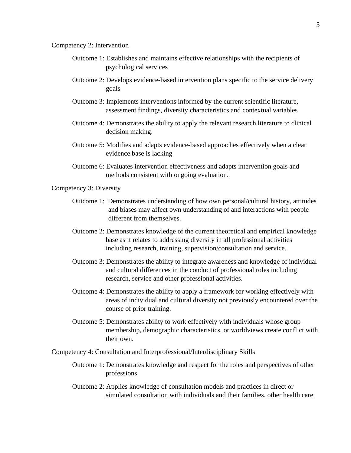#### Competency 2: Intervention

- Outcome 1: Establishes and maintains effective relationships with the recipients of psychological services
- Outcome 2: Develops evidence-based intervention plans specific to the service delivery goals
- Outcome 3: Implements interventions informed by the current scientific literature, assessment findings, diversity characteristics and contextual variables
- Outcome 4: Demonstrates the ability to apply the relevant research literature to clinical decision making.
- Outcome 5: Modifies and adapts evidence-based approaches effectively when a clear evidence base is lacking
- Outcome 6: Evaluates intervention effectiveness and adapts intervention goals and methods consistent with ongoing evaluation.

#### Competency 3: Diversity

- Outcome 1: Demonstrates understanding of how own personal/cultural history, attitudes and biases may affect own understanding of and interactions with people different from themselves.
- Outcome 2: Demonstrates knowledge of the current theoretical and empirical knowledge base as it relates to addressing diversity in all professional activities including research, training, supervision/consultation and service.
- Outcome 3: Demonstrates the ability to integrate awareness and knowledge of individual and cultural differences in the conduct of professional roles including research, service and other professional activities.
- Outcome 4: Demonstrates the ability to apply a framework for working effectively with areas of individual and cultural diversity not previously encountered over the course of prior training.
- Outcome 5: Demonstrates ability to work effectively with individuals whose group membership, demographic characteristics, or worldviews create conflict with their own.

Competency 4: Consultation and Interprofessional/Interdisciplinary Skills

- Outcome 1: Demonstrates knowledge and respect for the roles and perspectives of other professions
- Outcome 2: Applies knowledge of consultation models and practices in direct or simulated consultation with individuals and their families, other health care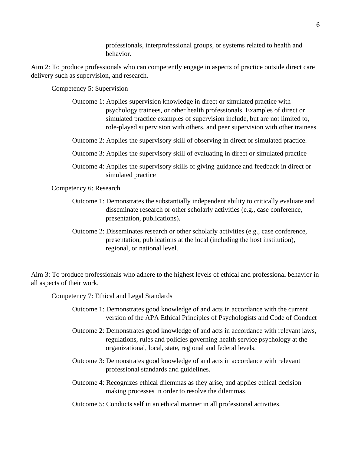professionals, interprofessional groups, or systems related to health and behavior.

Aim 2: To produce professionals who can competently engage in aspects of practice outside direct care delivery such as supervision, and research.

Competency 5: Supervision

- Outcome 1: Applies supervision knowledge in direct or simulated practice with psychology trainees, or other health professionals. Examples of direct or simulated practice examples of supervision include, but are not limited to, role-played supervision with others, and peer supervision with other trainees.
- Outcome 2: Applies the supervisory skill of observing in direct or simulated practice.
- Outcome 3: Applies the supervisory skill of evaluating in direct or simulated practice
- Outcome 4: Applies the supervisory skills of giving guidance and feedback in direct or simulated practice

Competency 6: Research

- Outcome 1: Demonstrates the substantially independent ability to critically evaluate and disseminate research or other scholarly activities (e.g., case conference, presentation, publications).
- Outcome 2: Disseminates research or other scholarly activities (e.g., case conference, presentation, publications at the local (including the host institution), regional, or national level.

Aim 3: To produce professionals who adhere to the highest levels of ethical and professional behavior in all aspects of their work.

Competency 7: Ethical and Legal Standards

- Outcome 1: Demonstrates good knowledge of and acts in accordance with the current version of the APA Ethical Principles of Psychologists and Code of Conduct
- Outcome 2: Demonstrates good knowledge of and acts in accordance with relevant laws, regulations, rules and policies governing health service psychology at the organizational, local, state, regional and federal levels.
- Outcome 3: Demonstrates good knowledge of and acts in accordance with relevant professional standards and guidelines.
- Outcome 4: Recognizes ethical dilemmas as they arise, and applies ethical decision making processes in order to resolve the dilemmas.
- Outcome 5: Conducts self in an ethical manner in all professional activities.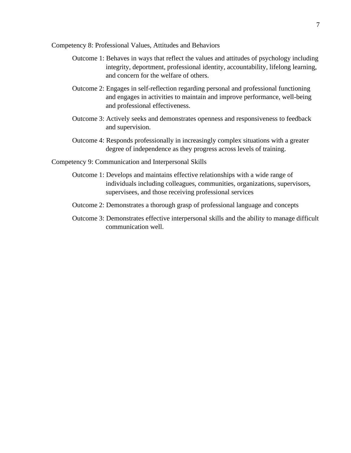Competency 8: Professional Values, Attitudes and Behaviors

- Outcome 1: Behaves in ways that reflect the values and attitudes of psychology including integrity, deportment, professional identity, accountability, lifelong learning, and concern for the welfare of others.
- Outcome 2: Engages in self-reflection regarding personal and professional functioning and engages in activities to maintain and improve performance, well-being and professional effectiveness.
- Outcome 3: Actively seeks and demonstrates openness and responsiveness to feedback and supervision.
- Outcome 4: Responds professionally in increasingly complex situations with a greater degree of independence as they progress across levels of training.

Competency 9: Communication and Interpersonal Skills

- Outcome 1: Develops and maintains effective relationships with a wide range of individuals including colleagues, communities, organizations, supervisors, supervisees, and those receiving professional services
- Outcome 2: Demonstrates a thorough grasp of professional language and concepts
- Outcome 3: Demonstrates effective interpersonal skills and the ability to manage difficult communication well.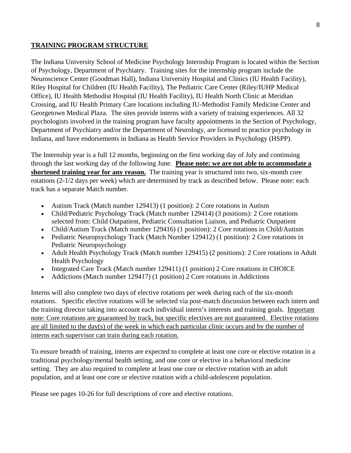## **TRAINING PROGRAM STRUCTURE**

The Indiana University School of Medicine Psychology Internship Program is located within the Section of Psychology, Department of Psychiatry. Training sites for the internship program include the Neuroscience Center (Goodman Hall), Indiana University Hospital and Clinics (IU Health Facility), Riley Hospital for Children (IU Health Facility), The Pediatric Care Center (Riley/IUHP Medical Office), IU Health Methodist Hospital (IU Health Facility), IU Health North Clinic at Meridian Crossing, and IU Health Primary Care locations including IU-Methodist Family Medicine Center and Georgetown Medical Plaza. The sites provide interns with a variety of training experiences. All 32 psychologists involved in the training program have faculty appointments in the Section of Psychology, Department of Psychiatry and/or the Department of Neurology, are licensed to practice psychology in Indiana, and have endorsements in Indiana as Health Service Providers in Psychology (HSPP).

The Internship year is a full 12 months, beginning on the first working day of July and continuing through the last working day of the following June. **Please note: we are not able to accommodate a shortened training year for any reason.** The training year is structured into two, six-month core rotations (2-1/2 days per week) which are determined by track as described below. Please note: each track has a separate Match number.

- Autism Track (Match number 129413) (1 position): 2 Core rotations in Autism
- Child/Pediatric Psychology Track (Match number 129414) (3 positions): 2 Core rotations selected from: Child Outpatient, Pediatric Consultation Liaison, and Pediatric Outpatient
- Child/Autism Track (Match number 129416) (1 position): 2 Core rotations in Child/Autism
- Pediatric Neuropsychology Track (Match Number 129412) (1 position): 2 Core rotations in Pediatric Neuropsychology
- Adult Health Psychology Track (Match number 129415) (2 positions): 2 Core rotations in Adult Health Psychology
- Integrated Care Track (Match number 129411) (1 position) 2 Core rotations in CHOICE
- Addictions (Match number 129417) (1 position) 2 Core rotations in Addictions

Interns will also complete two days of elective rotations per week during each of the six-month rotations. Specific elective rotations will be selected via post-match discussion between each intern and the training director taking into account each individual intern's interests and training goals. Important note: Core rotations are guaranteed by track, but specific electives are not guaranteed. Elective rotations are all limited to the day(s) of the week in which each particular clinic occurs and by the number of interns each supervisor can train during each rotation.

To ensure breadth of training, interns are expected to complete at least one core or elective rotation in a traditional psychology/mental health setting, and one core or elective in a behavioral medicine setting. They are also required to complete at least one core or elective rotation with an adult population, and at least one core or elective rotation with a child-adolescent population.

Please see pages 10-26 for full descriptions of core and elective rotations.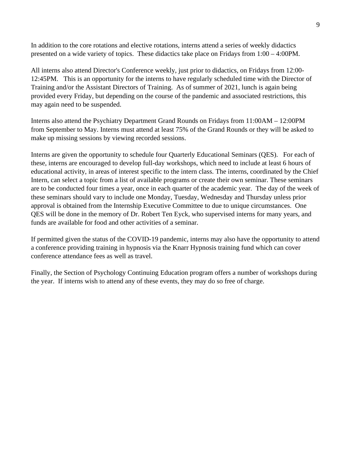In addition to the core rotations and elective rotations, interns attend a series of weekly didactics presented on a wide variety of topics. These didactics take place on Fridays from 1:00 – 4:00PM.

All interns also attend Director's Conference weekly, just prior to didactics, on Fridays from 12:00- 12:45PM. This is an opportunity for the interns to have regularly scheduled time with the Director of Training and/or the Assistant Directors of Training. As of summer of 2021, lunch is again being provided every Friday, but depending on the course of the pandemic and associated restrictions, this may again need to be suspended.

Interns also attend the Psychiatry Department Grand Rounds on Fridays from 11:00AM – 12:00PM from September to May. Interns must attend at least 75% of the Grand Rounds or they will be asked to make up missing sessions by viewing recorded sessions.

Interns are given the opportunity to schedule four Quarterly Educational Seminars (QES). For each of these, interns are encouraged to develop full-day workshops, which need to include at least 6 hours of educational activity, in areas of interest specific to the intern class. The interns, coordinated by the Chief Intern, can select a topic from a list of available programs or create their own seminar. These seminars are to be conducted four times a year, once in each quarter of the academic year. The day of the week of these seminars should vary to include one Monday, Tuesday, Wednesday and Thursday unless prior approval is obtained from the Internship Executive Committee to due to unique circumstances. One QES will be done in the memory of Dr. Robert Ten Eyck, who supervised interns for many years, and funds are available for food and other activities of a seminar.

If permitted given the status of the COVID-19 pandemic, interns may also have the opportunity to attend a conference providing training in hypnosis via the Knarr Hypnosis training fund which can cover conference attendance fees as well as travel.

Finally, the Section of Psychology Continuing Education program offers a number of workshops during the year. If interns wish to attend any of these events, they may do so free of charge.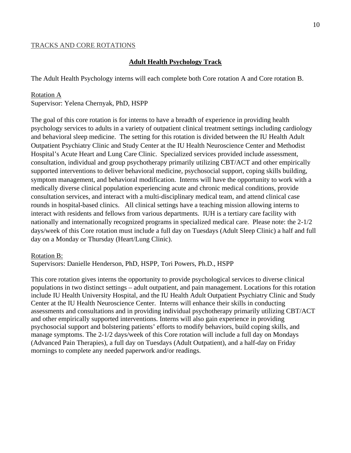#### TRACKS AND CORE ROTATIONS

#### **Adult Health Psychology Track**

The Adult Health Psychology interns will each complete both Core rotation A and Core rotation B.

#### Rotation A

Supervisor: [Yelena Chernyak, PhD,](https://medicine.iu.edu/faculty/11776/chernyak-yelena/) HSPP

The goal of this core rotation is for interns to have a breadth of experience in providing health psychology services to adults in a variety of outpatient clinical treatment settings including cardiology and behavioral sleep medicine. The setting for this rotation is divided between the IU Health Adult Outpatient Psychiatry Clinic and Study Center at the IU Health Neuroscience Center and Methodist Hospital's Acute Heart and Lung Care Clinic. Specialized services provided include assessment, consultation, individual and group psychotherapy primarily utilizing CBT/ACT and other empirically supported interventions to deliver behavioral medicine, psychosocial support, coping skills building, symptom management, and behavioral modification. Interns will have the opportunity to work with a medically diverse clinical population experiencing acute and chronic medical conditions, provide consultation services, and interact with a multi-disciplinary medical team, and attend clinical case rounds in hospital-based clinics. All clinical settings have a teaching mission allowing interns to interact with residents and fellows from various departments. IUH is a tertiary care facility with nationally and internationally recognized programs in specialized medical care. Please note: the 2-1/2 days/week of this Core rotation must include a full day on Tuesdays (Adult Sleep Clinic) a half and full day on a Monday or Thursday (Heart/Lung Clinic).

#### Rotation B:

Supervisors: Danielle Henderson, PhD, HSPP, Tori Powers, Ph.D., HSPP

This core rotation gives interns the opportunity to provide psychological services to diverse clinical populations in two distinct settings – adult outpatient, and pain management. Locations for this rotation include IU Health University Hospital, and the IU Health Adult Outpatient Psychiatry Clinic and Study Center at the IU Health Neuroscience Center. Interns will enhance their skills in conducting assessments and consultations and in providing individual psychotherapy primarily utilizing CBT/ACT and other empirically supported interventions. Interns will also gain experience in providing psychosocial support and bolstering patients' efforts to modify behaviors, build coping skills, and manage symptoms. The 2-1/2 days/week of this Core rotation will include a full day on Mondays (Advanced Pain Therapies), a full day on Tuesdays (Adult Outpatient), and a half-day on Friday mornings to complete any needed paperwork and/or readings.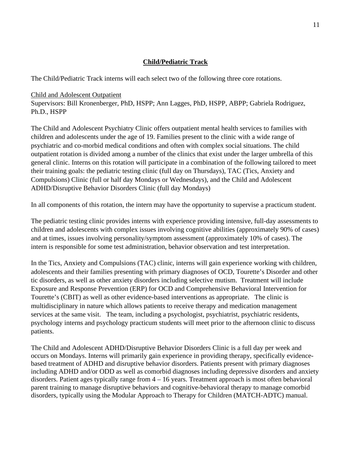## **Child/Pediatric Track**

The Child/Pediatric Track interns will each select two of the following three core rotations.

Child and Adolescent Outpatient Supervisors: [Bill Kronenberger, PhD,](https://medicine.iu.edu/faculty/13615/kronenberger-william/) HSPP; [Ann Lagges, PhD,](https://medicine.iu.edu/faculty/14540/lagges-ann/) HSPP, ABPP; Gabriela Rodriguez, Ph.D., HSPP

The Child and Adolescent Psychiatry Clinic offers outpatient mental health services to families with children and adolescents under the age of 19. Families present to the clinic with a wide range of psychiatric and co-morbid medical conditions and often with complex social situations. The child outpatient rotation is divided among a number of the clinics that exist under the larger umbrella of this general clinic. Interns on this rotation will participate in a combination of the following tailored to meet their training goals: the pediatric testing clinic (full day on Thursdays), TAC (Tics, Anxiety and Compulsions) Clinic (full or half day Mondays or Wednesdays), and the Child and Adolescent ADHD/Disruptive Behavior Disorders Clinic (full day Mondays)

In all components of this rotation, the intern may have the opportunity to supervise a practicum student.

The pediatric testing clinic provides interns with experience providing intensive, full-day assessments to children and adolescents with complex issues involving cognitive abilities (approximately 90% of cases) and at times, issues involving personality/symptom assessment (approximately 10% of cases). The intern is responsible for some test administration, behavior observation and test interpretation.

In the Tics, Anxiety and Compulsions (TAC) clinic, interns will gain experience working with children, adolescents and their families presenting with primary diagnoses of OCD, Tourette's Disorder and other tic disorders, as well as other anxiety disorders including selective mutism. Treatment will include Exposure and Response Prevention (ERP) for OCD and Comprehensive Behavioral Intervention for Tourette's (CBIT) as well as other evidence-based interventions as appropriate. The clinic is multidisciplinary in nature which allows patients to receive therapy and medication management services at the same visit. The team, including a psychologist, psychiatrist, psychiatric residents, psychology interns and psychology practicum students will meet prior to the afternoon clinic to discuss patients.

The Child and Adolescent ADHD/Disruptive Behavior Disorders Clinic is a full day per week and occurs on Mondays. Interns will primarily gain experience in providing therapy, specifically evidencebased treatment of ADHD and disruptive behavior disorders. Patients present with primary diagnoses including ADHD and/or ODD as well as comorbid diagnoses including depressive disorders and anxiety disorders. Patient ages typically range from 4 – 16 years. Treatment approach is most often behavioral parent training to manage disruptive behaviors and cognitive-behavioral therapy to manage comorbid disorders, typically using the Modular Approach to Therapy for Children (MATCH-ADTC) manual.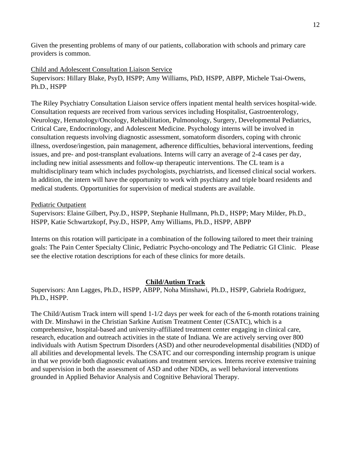Given the presenting problems of many of our patients, collaboration with schools and primary care providers is common.

Child and Adolescent Consultation Liaison Service Supervisors: [Hillary Blake, PsyD,](https://medicine.iu.edu/faculty/13218/blake-hillary/) HSPP; [Amy Williams, PhD,](https://medicine.iu.edu/faculty/22839/williams-amy/) HSPP, ABPP, Michele Tsai-Owens, Ph.D., HSPP

The Riley Psychiatry Consultation Liaison service offers inpatient mental health services hospital-wide. Consultation requests are received from various services including Hospitalist, Gastroenterology, Neurology, Hematology/Oncology, Rehabilitation, Pulmonology, Surgery, Developmental Pediatrics, Critical Care, Endocrinology, and Adolescent Medicine. Psychology interns will be involved in consultation requests involving diagnostic assessment, somatoform disorders, coping with chronic illness, overdose/ingestion, pain management, adherence difficulties, behavioral interventions, feeding issues, and pre- and post-transplant evaluations. Interns will carry an average of 2-4 cases per day, including new initial assessments and follow-up therapeutic interventions. The CL team is a multidisciplinary team which includes psychologists, psychiatrists, and licensed clinical social workers. In addition, the intern will have the opportunity to work with psychiatry and triple board residents and medical students. Opportunities for supervision of medical students are available.

#### Pediatric Outpatient

Supervisors: Elaine Gilbert, Psy.D., HSPP, Stephanie Hullmann, Ph.D., HSPP; Mary Milder, Ph.D., HSPP, Katie Schwartzkopf, Psy.D., HSPP, Amy Williams, Ph.D., HSPP, ABPP

Interns on this rotation will participate in a combination of the following tailored to meet their training goals: The Pain Center Specialty Clinic, Pediatric Psycho-oncology and The Pediatric GI Clinic. Please see the elective rotation descriptions for each of these clinics for more details.

#### **Child/Autism Track**

Supervisors: Ann Lagges, Ph.D., HSPP, ABPP, Noha Minshawi, Ph.D., HSPP, Gabriela Rodriguez, Ph.D., HSPP.

The Child/Autism Track intern will spend 1-1/2 days per week for each of the 6-month rotations training with Dr. Minshawi in the Christian Sarkine Autism Treatment Center (CSATC), which is a comprehensive, hospital-based and university-affiliated treatment center engaging in clinical care, research, education and outreach activities in the state of Indiana. We are actively serving over 800 individuals with Autism Spectrum Disorders (ASD) and other neurodevelopmental disabilities (NDD) of all abilities and developmental levels. The CSATC and our corresponding internship program is unique in that we provide both diagnostic evaluations and treatment services. Interns receive extensive training and supervision in both the assessment of ASD and other NDDs, as well behavioral interventions grounded in Applied Behavior Analysis and Cognitive Behavioral Therapy.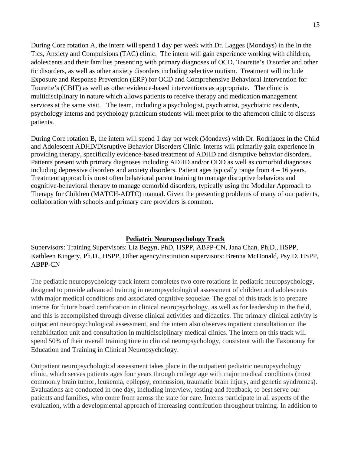During Core rotation A, the intern will spend 1 day per week with Dr. Lagges (Mondays) in the In the Tics, Anxiety and Compulsions (TAC) clinic. The intern will gain experience working with children, adolescents and their families presenting with primary diagnoses of OCD, Tourette's Disorder and other tic disorders, as well as other anxiety disorders including selective mutism. Treatment will include Exposure and Response Prevention (ERP) for OCD and Comprehensive Behavioral Intervention for Tourette's (CBIT) as well as other evidence-based interventions as appropriate. The clinic is multidisciplinary in nature which allows patients to receive therapy and medication management services at the same visit. The team, including a psychologist, psychiatrist, psychiatric residents, psychology interns and psychology practicum students will meet prior to the afternoon clinic to discuss patients.

During Core rotation B, the intern will spend 1 day per week (Mondays) with Dr. Rodriguez in the Child and Adolescent ADHD/Disruptive Behavior Disorders Clinic. Interns will primarily gain experience in providing therapy, specifically evidence-based treatment of ADHD and disruptive behavior disorders. Patients present with primary diagnoses including ADHD and/or ODD as well as comorbid diagnoses including depressive disorders and anxiety disorders. Patient ages typically range from 4 – 16 years. Treatment approach is most often behavioral parent training to manage disruptive behaviors and cognitive-behavioral therapy to manage comorbid disorders, typically using the Modular Approach to Therapy for Children (MATCH-ADTC) manual. Given the presenting problems of many of our patients, collaboration with schools and primary care providers is common.

## **Pediatric Neuropsychology Track**

Supervisors: Training Supervisors: Liz Begyn, PhD, HSPP, [ABPP-CN,](https://medicine.iu.edu/faculty/20212/begyn-elizabeth/) Jana Chan, Ph.D., HSPP, Kathleen Kingery, Ph.D., HSPP, Other agency/institution supervisors: Brenna McDonald, Psy.D. HSPP, ABPP-CN

The pediatric neuropsychology track intern completes two core rotations in pediatric neuropsychology, designed to provide advanced training in neuropsychological assessment of children and adolescents with major medical conditions and associated cognitive sequelae. The goal of this track is to prepare interns for future board certification in clinical neuropsychology, as well as for leadership in the field, and this is accomplished through diverse clinical activities and didactics. The primary clinical activity is outpatient neuropsychological assessment, and the intern also observes inpatient consultation on the rehabilitation unit and consultation in multidisciplinary medical clinics. The intern on this track will spend 50% of their overall training time in clinical neuropsychology, consistent with the Taxonomy for Education and Training in Clinical Neuropsychology.

Outpatient neuropsychological assessment takes place in the outpatient pediatric neuropsychology clinic, which serves patients ages four years through college age with major medical conditions (most commonly brain tumor, leukemia, epilepsy, concussion, traumatic brain injury, and genetic syndromes). Evaluations are conducted in one day, including interview, testing and feedback, to best serve our patients and families, who come from across the state for care. Interns participate in all aspects of the evaluation, with a developmental approach of increasing contribution throughout training. In addition to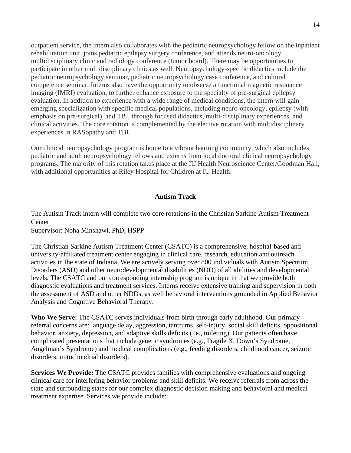outpatient service, the intern also collaborates with the pediatric neuropsychology fellow on the inpatient rehabilitation unit, joins pediatric epilepsy surgery conference, and attends neuro-oncology multidisciplinary clinic and radiology conference (tumor board). There may be opportunities to participate in other multidisciplinary clinics as well. Neuropsychology-specific didactics include the pediatric neuropsychology seminar, pediatric neuropsychology case conference, and cultural competence seminar. Interns also have the opportunity to observe a functional magnetic resonance imaging (fMRI) evaluation, to further enhance exposure to the specialty of pre-surgical epilepsy evaluation. In addition to experience with a wide range of medical conditions, the intern will gain emerging specialization with specific medical populations, including neuro-oncology, epilepsy (with emphasis on pre-surgical), and TBI, through focused didactics, multi-disciplinary experiences, and clinical activities. The core rotation is complemented by the elective rotation with multidisciplinary experiences in RASopathy and TBI.

Our clinical neuropsychology program is home to a vibrant learning community, which also includes pediatric and adult neuropsychology fellows and externs from local doctoral clinical neuropsychology programs. The majority of this rotation takes place at the IU Health Neuroscience Center/Goodman Hall, with additional opportunities at Riley Hospital for Children at IU Health.

# **Autism Track**

The Autism Track intern will complete two core rotations in the Christian Sarkine Autism Treatment **Center** 

Supervisor: Noha Minshawi, PhD, HSPP

The Christian Sarkine Autism Treatment Center (CSATC) is a comprehensive, hospital-based and university-affiliated treatment center engaging in clinical care, research, education and outreach activities in the state of Indiana. We are actively serving over 800 individuals with Autism Spectrum Disorders (ASD) and other neurodevelopmental disabilities (NDD) of all abilities and developmental levels. The CSATC and our corresponding internship program is unique in that we provide both diagnostic evaluations and treatment services. Interns receive extensive training and supervision in both the assessment of ASD and other NDDs, as well behavioral interventions grounded in Applied Behavior Analysis and Cognitive Behavioral Therapy.

**Who We Serve:** The CSATC serves individuals from birth through early adulthood. Our primary referral concerns are: language delay, aggression, tantrums, self-injury, social skill deficits, oppositional behavior, anxiety, depression, and adaptive skills deficits (i.e., toileting). Our patients often have complicated presentations that include genetic syndromes (e.g., Fragile X, Down's Syndrome, Angelman's Syndrome) and medical complications (e.g., feeding disorders, childhood cancer, seizure disorders, mitochondrial disorders).

**Services We Provide:** The CSATC provides families with comprehensive evaluations and ongoing clinical care for interfering behavior problems and skill deficits. We receive referrals from across the state and surrounding states for our complex diagnostic decision making and behavioral and medical treatment expertise. Services we provide include: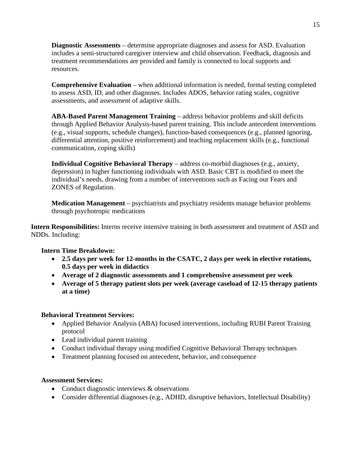**Diagnostic Assessments** – determine appropriate diagnoses and assess for ASD. Evaluation includes a semi-structured caregiver interview and child observation. Feedback, diagnosis and treatment recommendations are provided and family is connected to local supports and resources.

**Comprehensive Evaluation** – when additional information is needed, formal testing completed to assess ASD, ID, and other diagnoses. Includes ADOS, behavior rating scales, cognitive assessments, and assessment of adaptive skills.

**ABA-Based Parent Management Training** – address behavior problems and skill deficits through Applied Behavior Analysis-based parent training. This include antecedent interventions (e.g., visual supports, schedule changes), function-based consequences (e.g., planned ignoring, differential attention, positive reinforcement) and teaching replacement skills (e.g., functional communication, coping skills)

**Individual Cognitive Behavioral Therapy** – address co-morbid diagnoses (e.g., anxiety, depression) in higher functioning individuals with ASD. Basic CBT is modified to meet the individual's needs, drawing from a number of interventions such as Facing our Fears and ZONES of Regulation.

**Medication Management** – psychiatrists and psychiatry residents manage behavior problems through psychotropic medications

**Intern Responsibilities:** Interns receive intensive training in both assessment and treatment of ASD and NDDs. Including:

## **Intern Time Breakdown:**

- **2.5 days per week for 12-months in the CSATC, 2 days per week in elective rotations, 0.5 days per week in didactics**
- **Average of 2 diagnostic assessments and 1 comprehensive assessment per week**
- **Average of 5 therapy patient slots per week (average caseload of 12-15 therapy patients at a time)**

## **Behavioral Treatment Services:**

- Applied Behavior Analysis (ABA) focused interventions, including RUBI Parent Training protocol
- Lead individual parent training
- Conduct individual therapy using modified Cognitive Behavioral Therapy techniques
- Treatment planning focused on antecedent, behavior, and consequence

## **Assessment Services:**

- Conduct diagnostic interviews & observations
- Consider differential diagnoses (e.g., ADHD, disruptive behaviors, Intellectual Disability)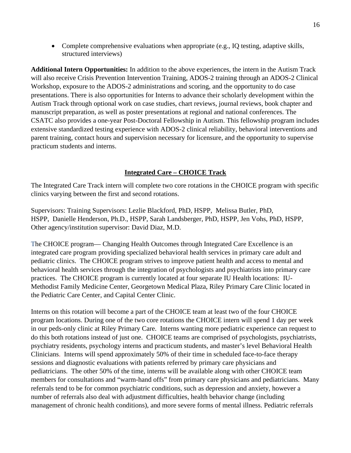• Complete comprehensive evaluations when appropriate (e.g., IQ testing, adaptive skills, structured interviews)

**Additional Intern Opportunities:** In addition to the above experiences, the intern in the Autism Track will also receive Crisis Prevention Intervention Training, ADOS-2 training through an ADOS-2 Clinical Workshop, exposure to the ADOS-2 administrations and scoring, and the opportunity to do case presentations. There is also opportunities for Interns to advance their scholarly development within the Autism Track through optional work on case studies, chart reviews, journal reviews, book chapter and manuscript preparation, as well as poster presentations at regional and national conferences. The CSATC also provides a one-year Post-Doctoral Fellowship in Autism. This fellowship program includes extensive standardized testing experience with ADOS-2 clinical reliability, behavioral interventions and parent training, contact hours and supervision necessary for licensure, and the opportunity to supervise practicum students and interns.

## **Integrated Care – CHOICE Track**

The Integrated Care Track intern will complete two core rotations in the CHOICE program with specific clinics varying between the first and second rotations.

Supervisors: Training Supervisors: [Lezlie Blackford, PhD,](https://medicine.iu.edu/faculty/21557/blackford-m/) HSPP, [Melissa Butler, PhD,](https://medicine.iu.edu/faculty/13843/butler-melissa/) HSPP, Danielle Henderson, Ph.D., HSPP, [Sarah Landsberger, PhD,](https://medicine.iu.edu/faculty/10758/landsberger-sarah/) HSPP, [Jen Vohs, PhD,](https://medicine.iu.edu/faculty/15039/vohs-jenifer/) HSPP, Other agency/institution supervisor: David Diaz, M.D.

The CHOICE program— Changing Health Outcomes through Integrated Care Excellence is an integrated care program providing specialized behavioral health services in primary care adult and pediatric clinics. The CHOICE program strives to improve patient health and access to mental and behavioral health services through the integration of psychologists and psychiatrists into primary care practices. The CHOICE program is currently located at four separate IU Health locations: IU-Methodist Family Medicine Center, Georgetown Medical Plaza, Riley Primary Care Clinic located in the Pediatric Care Center, and Capital Center Clinic.

Interns on this rotation will become a part of the CHOICE team at least two of the four CHOICE program locations. During one of the two core rotations the CHOICE intern will spend 1 day per week in our peds-only clinic at Riley Primary Care. Interns wanting more pediatric experience can request to do this both rotations instead of just one. CHOICE teams are comprised of psychologists, psychiatrists, psychiatry residents, psychology interns and practicum students, and master's level Behavioral Health Clinicians. Interns will spend approximately 50% of their time in scheduled face-to-face therapy sessions and diagnostic evaluations with patients referred by primary care physicians and pediatricians. The other 50% of the time, interns will be available along with other CHOICE team members for consultations and "warm-hand offs" from primary care physicians and pediatricians. Many referrals tend to be for common psychiatric conditions, such as depression and anxiety, however a number of referrals also deal with adjustment difficulties, health behavior change (including management of chronic health conditions), and more severe forms of mental illness. Pediatric referrals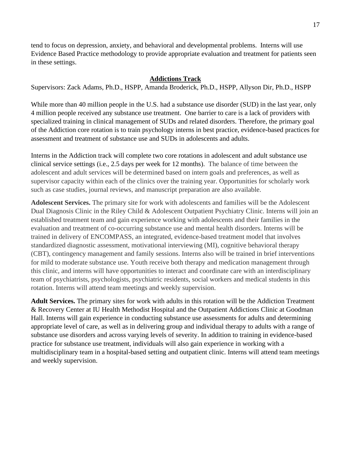tend to focus on depression, anxiety, and behavioral and developmental problems. Interns will use Evidence Based Practice methodology to provide appropriate evaluation and treatment for patients seen in these settings.

# **Addictions Track**

Supervisors: Zack Adams, Ph.D., HSPP, Amanda Broderick, Ph.D., HSPP, Allyson Dir, Ph.D., HSPP

While more than 40 million people in the U.S. had a substance use disorder (SUD) in the last year, only 4 million people received any substance use treatment. One barrier to care is a lack of providers with specialized training in clinical management of SUDs and related disorders. Therefore, the primary goal of the Addiction core rotation is to train psychology interns in best practice, evidence-based practices for assessment and treatment of substance use and SUDs in adolescents and adults.

Interns in the Addiction track will complete two core rotations in adolescent and adult substance use clinical service settings (i.e., 2.5 days per week for 12 months). The balance of time between the adolescent and adult services will be determined based on intern goals and preferences, as well as supervisor capacity within each of the clinics over the training year. Opportunities for scholarly work such as case studies, journal reviews, and manuscript preparation are also available.

**Adolescent Services.** The primary site for work with adolescents and families will be the Adolescent Dual Diagnosis Clinic in the Riley Child & Adolescent Outpatient Psychiatry Clinic. Interns will join an established treatment team and gain experience working with adolescents and their families in the evaluation and treatment of co-occurring substance use and mental health disorders. Interns will be trained in delivery of ENCOMPASS, an integrated, evidence-based treatment model that involves standardized diagnostic assessment, motivational interviewing (MI), cognitive behavioral therapy (CBT), contingency management and family sessions. Interns also will be trained in brief interventions for mild to moderate substance use. Youth receive both therapy and medication management through this clinic, and interns will have opportunities to interact and coordinate care with an interdisciplinary team of psychiatrists, psychologists, psychiatric residents, social workers and medical students in this rotation. Interns will attend team meetings and weekly supervision.

**Adult Services.** The primary sites for work with adults in this rotation will be the Addiction Treatment & Recovery Center at IU Health Methodist Hospital and the Outpatient Addictions Clinic at Goodman Hall. Interns will gain experience in conducting substance use assessments for adults and determining appropriate level of care, as well as in delivering group and individual therapy to adults with a range of substance use disorders and across varying levels of severity. In addition to training in evidence-based practice for substance use treatment, individuals will also gain experience in working with a multidisciplinary team in a hospital-based setting and outpatient clinic. Interns will attend team meetings and weekly supervision.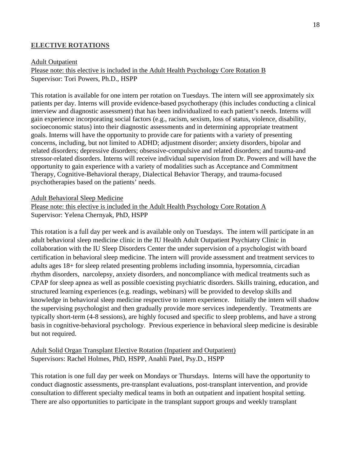## **ELECTIVE ROTATIONS**

#### Adult Outpatient

Please note: this elective is included in the Adult Health Psychology Core Rotation B Supervisor: Tori Powers, Ph.D., HSPP

This rotation is available for one intern per rotation on Tuesdays. The intern will see approximately six patients per day. Interns will provide evidence-based psychotherapy (this includes conducting a clinical interview and diagnostic assessment) that has been individualized to each patient's needs. Interns will gain experience incorporating social factors (e.g., racism, sexism, loss of status, violence, disability, socioeconomic status) into their diagnostic assessments and in determining appropriate treatment goals. Interns will have the opportunity to provide care for patients with a variety of presenting concerns, including, but not limited to ADHD; adjustment disorder; anxiety disorders, bipolar and related disorders; depressive disorders; obsessive-compulsive and related disorders; and trauma-and stressor-related disorders. Interns will receive individual supervision from Dr. Powers and will have the opportunity to gain experience with a variety of modalities such as Acceptance and Commitment Therapy, Cognitive-Behavioral therapy, Dialectical Behavior Therapy, and trauma-focused psychotherapies based on the patients' needs.

#### Adult Behavioral Sleep Medicine

Please note: this elective is included in the Adult Health Psychology Core Rotation A Supervisor: [Yelena Chernyak, PhD,](https://medicine.iu.edu/faculty/11776/chernyak-yelena/) HSPP

This rotation is a full day per week and is available only on Tuesdays. The intern will participate in an adult behavioral sleep medicine clinic in the IU Health Adult Outpatient Psychiatry Clinic in collaboration with the IU Sleep Disorders Center the under supervision of a psychologist with board certification in behavioral sleep medicine. The intern will provide assessment and treatment services to adults ages 18+ for sleep related presenting problems including insomnia, hypersomnia, circadian rhythm disorders, narcolepsy, anxiety disorders, and noncompliance with medical treatments such as CPAP for sleep apnea as well as possible coexisting psychiatric disorders. Skills training, education, and structured learning experiences (e.g. readings, webinars) will be provided to develop skills and knowledge in behavioral sleep medicine respective to intern experience. Initially the intern will shadow the supervising psychologist and then gradually provide more services independently. Treatments are typically short-term (4-8 sessions), are highly focused and specific to sleep problems, and have a strong basis in cognitive-behavioral psychology. Previous experience in behavioral sleep medicine is desirable but not required.

## Adult Solid Organ Transplant Elective Rotation (Inpatient and Outpatient) Supervisors: Rachel Holmes, PhD, HSPP, Anahli Patel, Psy.D., HSPP

This rotation is one full day per week on Mondays or Thursdays. Interns will have the opportunity to conduct diagnostic assessments, pre-transplant evaluations, post-transplant intervention, and provide consultation to different specialty medical teams in both an outpatient and inpatient hospital setting. There are also opportunities to participate in the transplant support groups and weekly transplant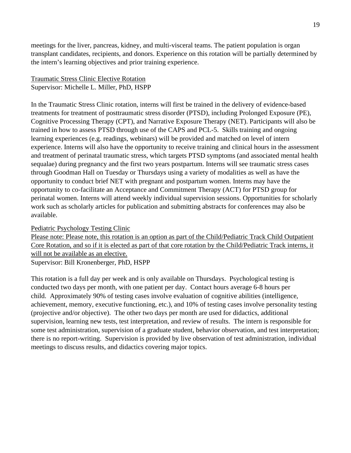meetings for the liver, pancreas, kidney, and multi-visceral teams. The patient population is organ transplant candidates, recipients, and donors. Experience on this rotation will be partially determined by the intern's learning objectives and prior training experience.

## Traumatic Stress Clinic Elective Rotation Supervisor: [Michelle L. Miller, PhD,](https://medicine.iu.edu/faculty/23695/adams-zachary/) HSPP

In the Traumatic Stress Clinic rotation, interns will first be trained in the delivery of evidence-based treatments for treatment of posttraumatic stress disorder (PTSD), including Prolonged Exposure (PE), Cognitive Processing Therapy (CPT), and Narrative Exposure Therapy (NET). Participants will also be trained in how to assess PTSD through use of the CAPS and PCL-5. Skills training and ongoing learning experiences (e.g. readings, webinars) will be provided and matched on level of intern experience. Interns will also have the opportunity to receive training and clinical hours in the assessment and treatment of perinatal traumatic stress, which targets PTSD symptoms (and associated mental health sequalae) during pregnancy and the first two years postpartum. Interns will see traumatic stress cases through Goodman Hall on Tuesday or Thursdays using a variety of modalities as well as have the opportunity to conduct brief NET with pregnant and postpartum women. Interns may have the opportunity to co-facilitate an Acceptance and Commitment Therapy (ACT) for PTSD group for perinatal women. Interns will attend weekly individual supervision sessions. Opportunities for scholarly work such as scholarly articles for publication and submitting abstracts for conferences may also be available.

## Pediatric Psychology Testing Clinic

Please note: Please note, this rotation is an option as part of the Child/Pediatric Track Child Outpatient Core Rotation, and so if it is elected as part of that core rotation by the Child/Pediatric Track interns, it will not be available as an elective. Supervisor: [Bill Kronenberger, PhD,](https://medicine.iu.edu/faculty/13615/kronenberger-william/) HSPP

This rotation is a full day per week and is only available on Thursdays. Psychological testing is conducted two days per month, with one patient per day. Contact hours average 6-8 hours per child. Approximately 90% of testing cases involve evaluation of cognitive abilities (intelligence, achievement, memory, executive functioning, etc.), and 10% of testing cases involve personality testing (projective and/or objective). The other two days per month are used for didactics, additional supervision, learning new tests, test interpretation, and review of results. The intern is responsible for some test administration, supervision of a graduate student, behavior observation, and test interpretation; there is no report-writing. Supervision is provided by live observation of test administration, individual meetings to discuss results, and didactics covering major topics.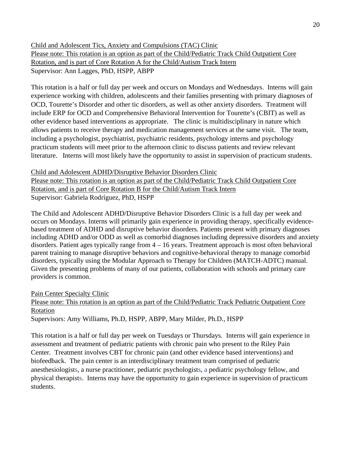Child and Adolescent Tics, Anxiety and Compulsions (TAC) Clinic Please note: This rotation is an option as part of the Child/Pediatric Track Child Outpatient Core Rotation, and is part of Core Rotation A for the Child/Autism Track Intern Supervisor: [Ann Lagges, PhD,](https://medicine.iu.edu/faculty/14540/lagges-ann/) HSPP, ABPP

This rotation is a half or full day per week and occurs on Mondays and Wednesdays. Interns will gain experience working with children, adolescents and their families presenting with primary diagnoses of OCD, Tourette's Disorder and other tic disorders, as well as other anxiety disorders. Treatment will include ERP for OCD and Comprehensive Behavioral Intervention for Tourette's (CBIT) as well as other evidence based interventions as appropriate. The clinic is multidisciplinary in nature which allows patients to receive therapy and medication management services at the same visit. The team, including a psychologist, psychiatrist, psychiatric residents, psychology interns and psychology practicum students will meet prior to the afternoon clinic to discuss patients and review relevant literature. Interns will most likely have the opportunity to assist in supervision of practicum students.

Child and Adolescent ADHD/Disruptive Behavior Disorders Clinic

Please note: This rotation is an option as part of the Child/Pediatric Track Child Outpatient Core Rotation, and is part of Core Rotation B for the Child/Autism Track Intern Supervisor: Gabriela Rodríguez, PhD, HSPP

The Child and Adolescent ADHD/Disruptive Behavior Disorders Clinic is a full day per week and occurs on Mondays. Interns will primarily gain experience in providing therapy, specifically evidencebased treatment of ADHD and disruptive behavior disorders. Patients present with primary diagnoses including ADHD and/or ODD as well as comorbid diagnoses including depressive disorders and anxiety disorders. Patient ages typically range from 4 – 16 years. Treatment approach is most often behavioral parent training to manage disruptive behaviors and cognitive-behavioral therapy to manage comorbid disorders, typically using the Modular Approach to Therapy for Children (MATCH-ADTC) manual. Given the presenting problems of many of our patients, collaboration with schools and primary care providers is common.

Pain Center Specialty Clinic

Please note: This rotation is an option as part of the Child/Pediatric Track Pediatric Outpatient Core Rotation

Supervisors: Amy Williams, Ph.D, HSPP, ABPP, Mary Milder, Ph.D., HSPP

This rotation is a half or full day per week on Tuesdays or Thursdays. Interns will gain experience in assessment and treatment of pediatric patients with chronic pain who present to the Riley Pain Center. Treatment involves CBT for chronic pain (and other evidence based interventions) and biofeedback. The pain center is an interdisciplinary treatment team comprised of pediatric anesthesiologists, a nurse practitioner, pediatric psychologists, a pediatric psychology fellow, and physical therapists. Interns may have the opportunity to gain experience in supervision of practicum students.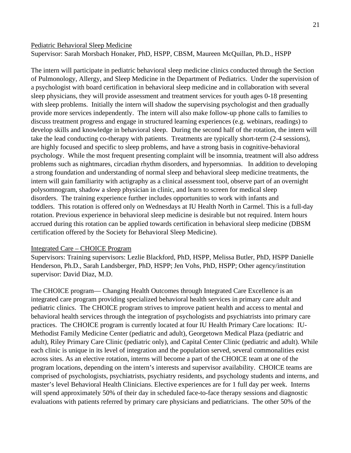#### Pediatric Behavioral Sleep Medicine

Supervisor: [Sarah Morsbach Honaker, PhD,](https://medicine.iu.edu/faculty/22672/honaker-sarah/) HSPP, CBSM, Maureen McQuillan, Ph.D., HSPP

The intern will participate in pediatric behavioral sleep medicine clinics conducted through the Section of Pulmonology, Allergy, and Sleep Medicine in the Department of Pediatrics. Under the supervision of a psychologist with board certification in behavioral sleep medicine and in collaboration with several sleep physicians, they will provide assessment and treatment services for youth ages 0-18 presenting with sleep problems. Initially the intern will shadow the supervising psychologist and then gradually provide more services independently. The intern will also make follow-up phone calls to families to discuss treatment progress and engage in structured learning experiences (e.g. webinars, readings) to develop skills and knowledge in behavioral sleep. During the second half of the rotation, the intern will take the lead conducting co-therapy with patients. Treatments are typically short-term (2-4 sessions), are highly focused and specific to sleep problems, and have a strong basis in cognitive-behavioral psychology. While the most frequent presenting complaint will be insomnia, treatment will also address problems such as nightmares, circadian rhythm disorders, and hypersomnias. In addition to developing a strong foundation and understanding of normal sleep and behavioral sleep medicine treatments, the intern will gain familiarity with actigraphy as a clinical assessment tool, observe part of an overnight polysomnogram, shadow a sleep physician in clinic, and learn to screen for medical sleep disorders. The training experience further includes opportunities to work with infants and toddlers. This rotation is offered only on Wednesdays at IU Health North in Carmel. This is a full-day rotation. Previous experience in behavioral sleep medicine is desirable but not required. Intern hours accrued during this rotation can be applied towards certification in behavioral sleep medicine (DBSM certification offered by the Society for Behavioral Sleep Medicine).

#### Integrated Care – CHOICE Program

Supervisors: Training supervisors: [Lezlie Blackford, PhD,](https://medicine.iu.edu/faculty/21557/blackford-m/) HSPP, [Melissa Butler, PhD,](https://medicine.iu.edu/faculty/13843/butler-melissa/) HSPP Danielle Henderson, Ph.D., [Sarah Landsberger, PhD,](https://medicine.iu.edu/faculty/10758/landsberger-sarah/) HSPP; [Jen Vohs, PhD,](https://medicine.iu.edu/faculty/15039/vohs-jenifer/) HSPP; Other agency/institution supervisor: David Diaz, M.D.

The CHOICE program— Changing Health Outcomes through Integrated Care Excellence is an integrated care program providing specialized behavioral health services in primary care adult and pediatric clinics. The CHOICE program strives to improve patient health and access to mental and behavioral health services through the integration of psychologists and psychiatrists into primary care practices. The CHOICE program is currently located at four IU Health Primary Care locations: IU-Methodist Family Medicine Center (pediatric and adult), Georgetown Medical Plaza (pediatric and adult), Riley Primary Care Clinic (pediatric only), and Capital Center Clinic (pediatric and adult). While each clinic is unique in its level of integration and the population served, several commonalities exist across sites. As an elective rotation, interns will become a part of the CHOICE team at one of the program locations, depending on the intern's interests and supervisor availability. CHOICE teams are comprised of psychologists, psychiatrists, psychiatry residents, and psychology students and interns, and master's level Behavioral Health Clinicians. Elective experiences are for 1 full day per week. Interns will spend approximately 50% of their day in scheduled face-to-face therapy sessions and diagnostic evaluations with patients referred by primary care physicians and pediatricians. The other 50% of the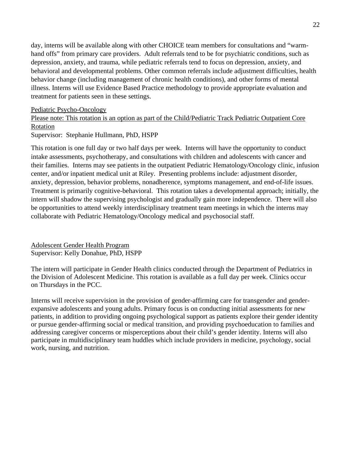day, interns will be available along with other CHOICE team members for consultations and "warmhand offs" from primary care providers. Adult referrals tend to be for psychiatric conditions, such as depression, anxiety, and trauma, while pediatric referrals tend to focus on depression, anxiety, and behavioral and developmental problems. Other common referrals include adjustment difficulties, health behavior change (including management of chronic health conditions), and other forms of mental illness. Interns will use Evidence Based Practice methodology to provide appropriate evaluation and treatment for patients seen in these settings.

## Pediatric Psycho-Oncology

Please note: This rotation is an option as part of the Child/Pediatric Track Pediatric Outpatient Core Rotation

Supervisor: Stephanie Hullmann, PhD, HSPP

This rotation is one full day or two half days per week. Interns will have the opportunity to conduct intake assessments, psychotherapy, and consultations with children and adolescents with cancer and their families. Interns may see patients in the outpatient Pediatric Hematology/Oncology clinic, infusion center, and/or inpatient medical unit at Riley. Presenting problems include: adjustment disorder, anxiety, depression, behavior problems, nonadherence, symptoms management, and end-of-life issues. Treatment is primarily cognitive-behavioral. This rotation takes a developmental approach; initially, the intern will shadow the supervising psychologist and gradually gain more independence. There will also be opportunities to attend weekly interdisciplinary treatment team meetings in which the interns may collaborate with Pediatric Hematology/Oncology medical and psychosocial staff.

Adolescent Gender Health Program Supervisor: Kelly Donahue, PhD, HSPP

The intern will participate in Gender Health clinics conducted through the Department of Pediatrics in the Division of Adolescent Medicine. This rotation is available as a full day per week. Clinics occur on Thursdays in the PCC.

Interns will receive supervision in the provision of gender-affirming care for transgender and genderexpansive adolescents and young adults. Primary focus is on conducting initial assessments for new patients, in addition to providing ongoing psychological support as patients explore their gender identity or pursue gender-affirming social or medical transition, and providing psychoeducation to families and addressing caregiver concerns or misperceptions about their child's gender identity. Interns will also participate in multidisciplinary team huddles which include providers in medicine, psychology, social work, nursing, and nutrition.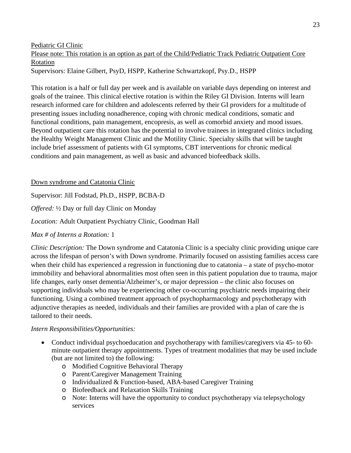Pediatric GI Clinic

Please note: This rotation is an option as part of the Child/Pediatric Track Pediatric Outpatient Core Rotation Supervisors: [Elaine Gilbert, PsyD, HSPP,](https://medicine.iu.edu/faculty/13218/blake-hillary/) Katherine Schwartzkopf, Psy.D., HSPP

This rotation is a half or full day per week and is available on variable days depending on interest and goals of the trainee. This clinical elective rotation is within the Riley GI Division. Interns will learn research informed care for children and adolescents referred by their GI providers for a multitude of presenting issues including nonadherence, coping with chronic medical conditions, somatic and functional conditions, pain management, encopresis, as well as comorbid anxiety and mood issues. Beyond outpatient care this rotation has the potential to involve trainees in integrated clinics including the Healthy Weight Management Clinic and the Motility Clinic. Specialty skills that will be taught include brief assessment of patients with GI symptoms, CBT interventions for chronic medical conditions and pain management, as well as basic and advanced biofeedback skills.

Down syndrome and Catatonia Clinic

Supervisor: Jill Fodstad, Ph.D., HSPP, BCBA-D

*Offered:* ½ Day or full day Clinic on Monday

*Location:* Adult Outpatient Psychiatry Clinic, Goodman Hall

*Max # of Interns a Rotation:* 1

*Clinic Description:* The Down syndrome and Catatonia Clinic is a specialty clinic providing unique care across the lifespan of person's with Down syndrome. Primarily focused on assisting families access care when their child has experienced a regression in functioning due to catatonia – a state of psycho-motor immobility and behavioral abnormalities most often seen in this patient population due to trauma, major life changes, early onset dementia/Alzheimer's, or major depression – the clinic also focuses on supporting individuals who may be experiencing other co-occurring psychiatric needs impairing their functioning. Using a combined treatment approach of psychopharmacology and psychotherapy with adjunctive therapies as needed, individuals and their families are provided with a plan of care the is tailored to their needs.

## *Intern Responsibilities/Opportunities:*

- Conduct individual psychoeducation and psychotherapy with families/caregivers via 45- to 60 minute outpatient therapy appointments. Types of treatment modalities that may be used include (but are not limited to) the following:
	- o Modified Cognitive Behavioral Therapy
	- o Parent/Caregiver Management Training
	- o Individualized & Function-based, ABA-based Caregiver Training
	- o Biofeedback and Relaxation Skills Training
	- o Note: Interns will have the opportunity to conduct psychotherapy via telepsychology services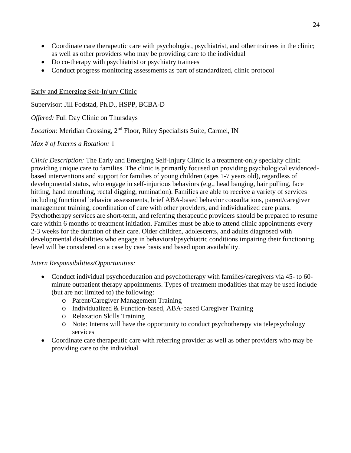- Coordinate care therapeutic care with psychologist, psychiatrist, and other trainees in the clinic; as well as other providers who may be providing care to the individual
- Do co-therapy with psychiatrist or psychiatry trainees
- Conduct progress monitoring assessments as part of standardized, clinic protocol

Early and Emerging Self-Injury Clinic

Supervisor: Jill Fodstad, Ph.D., HSPP, BCBA-D

*Offered:* Full Day Clinic on Thursdays

*Location:* Meridian Crossing, 2nd Floor, Riley Specialists Suite, Carmel, IN

*Max # of Interns a Rotation:* 1

*Clinic Description:* The Early and Emerging Self-Injury Clinic is a treatment-only specialty clinic providing unique care to families. The clinic is primarily focused on providing psychological evidencedbased interventions and support for families of young children (ages 1-7 years old), regardless of developmental status, who engage in self-injurious behaviors (e.g., head banging, hair pulling, face hitting, hand mouthing, rectal digging, rumination). Families are able to receive a variety of services including functional behavior assessments, brief ABA-based behavior consultations, parent/caregiver management training, coordination of care with other providers, and individualized care plans. Psychotherapy services are short-term, and referring therapeutic providers should be prepared to resume care within 6 months of treatment initiation. Families must be able to attend clinic appointments every 2-3 weeks for the duration of their care. Older children, adolescents, and adults diagnosed with developmental disabilities who engage in behavioral/psychiatric conditions impairing their functioning level will be considered on a case by case basis and based upon availability.

## *Intern Responsibilities/Opportunities:*

- Conduct individual psychoeducation and psychotherapy with families/caregivers via 45- to 60minute outpatient therapy appointments. Types of treatment modalities that may be used include (but are not limited to) the following:
	- o Parent/Caregiver Management Training
	- o Individualized & Function-based, ABA-based Caregiver Training
	- o Relaxation Skills Training
	- o Note: Interns will have the opportunity to conduct psychotherapy via telepsychology services
- Coordinate care therapeutic care with referring provider as well as other providers who may be providing care to the individual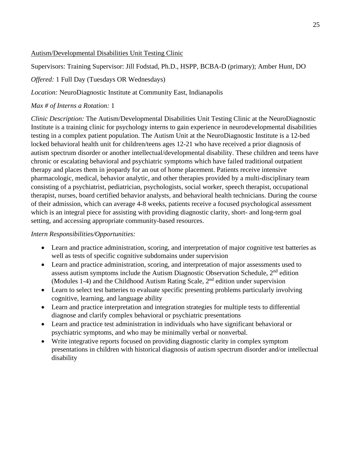## Autism/Developmental Disabilities Unit Testing Clinic

Supervisors: Training Supervisor: Jill Fodstad, Ph.D., HSPP, BCBA-D (primary); Amber Hunt, DO

*Offered:* 1 Full Day (Tuesdays OR Wednesdays)

*Location:* NeuroDiagnostic Institute at Community East, Indianapolis

# *Max # of Interns a Rotation:* 1

*Clinic Description:* The Autism/Developmental Disabilities Unit Testing Clinic at the NeuroDiagnostic Institute is a training clinic for psychology interns to gain experience in neurodevelopmental disabilities testing in a complex patient population. The Autism Unit at the NeuroDiagnostic Institute is a 12-bed locked behavioral health unit for children/teens ages 12-21 who have received a prior diagnosis of autism spectrum disorder or another intellectual/developmental disability. These children and teens have chronic or escalating behavioral and psychiatric symptoms which have failed traditional outpatient therapy and places them in jeopardy for an out of home placement. Patients receive intensive pharmacologic, medical, behavior analytic, and other therapies provided by a multi-disciplinary team consisting of a psychiatrist, pediatrician, psychologists, social worker, speech therapist, occupational therapist, nurses, board certified behavior analysts, and behavioral health technicians. During the course of their admission, which can average 4-8 weeks, patients receive a focused psychological assessment which is an integral piece for assisting with providing diagnostic clarity, short- and long-term goal setting, and accessing appropriate community-based resources.

# *Intern Responsibilities/Opportunities:*

- Learn and practice administration, scoring, and interpretation of major cognitive test batteries as well as tests of specific cognitive subdomains under supervision
- Learn and practice administration, scoring, and interpretation of major assessments used to assess autism symptoms include the Autism Diagnostic Observation Schedule,  $2<sup>nd</sup>$  edition (Modules 1-4) and the Childhood Autism Rating Scale,  $2<sup>nd</sup>$  edition under supervision
- Learn to select test batteries to evaluate specific presenting problems particularly involving cognitive, learning, and language ability
- Learn and practice interpretation and integration strategies for multiple tests to differential diagnose and clarify complex behavioral or psychiatric presentations
- Learn and practice test administration in individuals who have significant behavioral or psychiatric symptoms, and who may be minimally verbal or nonverbal.
- Write integrative reports focused on providing diagnostic clarity in complex symptom presentations in children with historical diagnosis of autism spectrum disorder and/or intellectual disability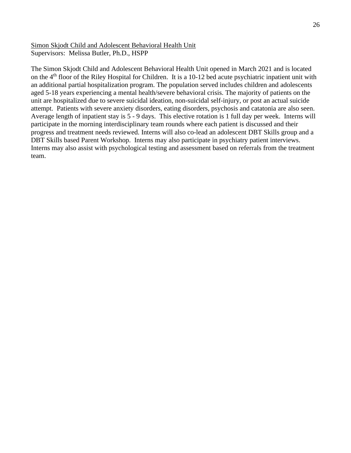Simon Skjodt Child and Adolescent Behavioral Health Unit Supervisors: Melissa Butler, Ph.D., HSPP

The Simon Skjodt Child and Adolescent Behavioral Health Unit opened in March 2021 and is located on the 4<sup>th</sup> floor of the Riley Hospital for Children. It is a 10-12 bed acute psychiatric inpatient unit with an additional partial hospitalization program. The population served includes children and adolescents aged 5-18 years experiencing a mental health/severe behavioral crisis. The majority of patients on the unit are hospitalized due to severe suicidal ideation, non-suicidal self-injury, or post an actual suicide attempt. Patients with severe anxiety disorders, eating disorders, psychosis and catatonia are also seen. Average length of inpatient stay is 5 - 9 days. This elective rotation is 1 full day per week. Interns will participate in the morning interdisciplinary team rounds where each patient is discussed and their progress and treatment needs reviewed. Interns will also co-lead an adolescent DBT Skills group and a DBT Skills based Parent Workshop. Interns may also participate in psychiatry patient interviews. Interns may also assist with psychological testing and assessment based on referrals from the treatment team.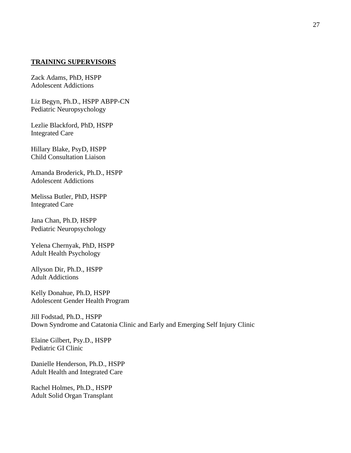#### **TRAINING SUPERVISORS**

[Zack Adams, PhD,](https://medicine.iu.edu/faculty/23695/adams-zachary/) HSPP Adolescent Addictions

[Liz Begyn, Ph.D., HSPP](https://medicine.iu.edu/faculty/20212/begyn-elizabeth/) ABPP-CN Pediatric Neuropsychology

[Lezlie Blackford, PhD,](https://medicine.iu.edu/faculty/21557/blackford-m/) HSPP Integrated Care

[Hillary Blake, PsyD,](https://medicine.iu.edu/faculty/13218/blake-hillary/) HSPP Child Consultation Liaison

Amanda Broderick, Ph.D., HSPP Adolescent Addictions

[Melissa Butler, PhD,](https://medicine.iu.edu/faculty/13843/butler-melissa/) HSPP Integrated Care

Jana Chan, Ph.D, HSPP Pediatric Neuropsychology

[Yelena Chernyak, PhD,](https://medicine.iu.edu/faculty/11776/chernyak-yelena/) HSPP Adult Health Psychology

Allyson Dir, Ph.D., HSPP Adult Addictions

Kelly Donahue, Ph.D, HSPP Adolescent Gender Health Program

Jill Fodstad, Ph.D., HSPP Down Syndrome and Catatonia Clinic and Early and Emerging Self Injury Clinic

Elaine Gilbert, Psy.D., HSPP Pediatric GI Clinic

Danielle Henderson, Ph.D., HSPP Adult Health and Integrated Care

Rachel Holmes, Ph.D., HSPP Adult Solid Organ Transplant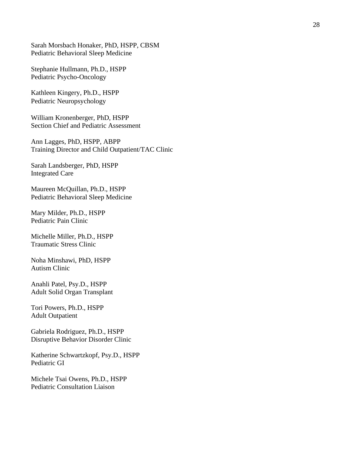[Sarah Morsbach Honaker, PhD, HSPP, CBSM](https://medicine.iu.edu/faculty/22672/honaker-sarah/) Pediatric Behavioral Sleep Medicine

Stephanie Hullmann, Ph.D., HSPP Pediatric Psycho-Oncology

Kathleen Kingery, Ph.D., HSPP Pediatric Neuropsychology

[William Kronenberger, PhD,](https://medicine.iu.edu/faculty/13615/kronenberger-william/) HSPP Section Chief and Pediatric Assessment

[Ann Lagges, PhD,](https://medicine.iu.edu/faculty/14540/lagges-ann/) HSPP, ABPP Training Director and Child Outpatient/TAC Clinic

[Sarah Landsberger, PhD,](https://medicine.iu.edu/faculty/10758/landsberger-sarah/) HSPP Integrated Care

Maureen McQuillan, Ph.D., HSPP Pediatric Behavioral Sleep Medicine

Mary Milder, Ph.D., HSPP Pediatric Pain Clinic

Michelle Miller, Ph.D., HSPP Traumatic Stress Clinic

[Noha Minshawi, PhD,](https://medicine.iu.edu/faculty/18904/minshawi-patterson-noha/) HSPP Autism Clinic

Anahli Patel, Psy.D., HSPP Adult Solid Organ Transplant

Tori Powers, Ph.D., HSPP Adult Outpatient

Gabriela Rodriguez, Ph.D., HSPP Disruptive Behavior Disorder Clinic

Katherine Schwartzkopf, Psy.D., HSPP Pediatric GI

Michele Tsai Owens, Ph.D., HSPP Pediatric Consultation Liaison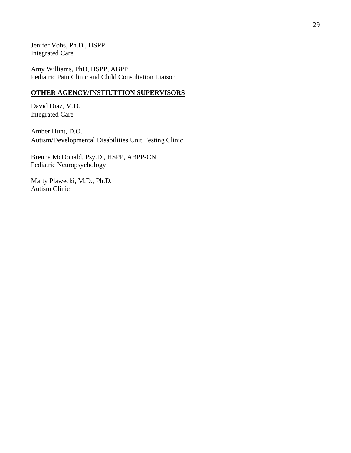[Jenifer Vohs, Ph.D.](https://medicine.iu.edu/faculty/15039/vohs-jenifer/), HSPP Integrated Care

[Amy Williams, PhD,](http://psychiatry.medicine.iu.edu/faculty-listing/amy-e-williams-ph-d/) HSPP, ABPP Pediatric Pain Clinic and Child Consultation Liaison

## **OTHER AGENCY/INSTIUTTION SUPERVISORS**

David Diaz, M.D. Integrated Care

Amber Hunt, D.O. Autism/Developmental Disabilities Unit Testing Clinic

Brenna McDonald, Psy.D., HSPP, ABPP-CN Pediatric Neuropsychology

Marty Plawecki, M.D., Ph.D. Autism Clinic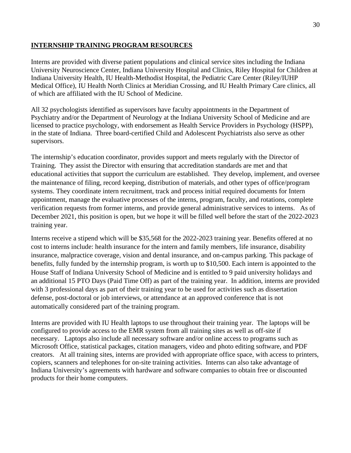#### **INTERNSHIP TRAINING PROGRAM RESOURCES**

Interns are provided with diverse patient populations and clinical service sites including the Indiana University Neuroscience Center, Indiana University Hospital and Clinics, Riley Hospital for Children at Indiana University Health, IU Health-Methodist Hospital, the Pediatric Care Center (Riley/IUHP Medical Office), IU Health North Clinics at Meridian Crossing, and IU Health Primary Care clinics, all of which are affiliated with the IU School of Medicine.

All 32 psychologists identified as supervisors have faculty appointments in the Department of Psychiatry and/or the Department of Neurology at the Indiana University School of Medicine and are licensed to practice psychology, with endorsement as Health Service Providers in Psychology (HSPP), in the state of Indiana. Three board-certified Child and Adolescent Psychiatrists also serve as other supervisors.

The internship's education coordinator, provides support and meets regularly with the Director of Training. They assist the Director with ensuring that accreditation standards are met and that educational activities that support the curriculum are established. They develop, implement, and oversee the maintenance of filing, record keeping, distribution of materials, and other types of office/program systems. They coordinate intern recruitment, track and process initial required documents for Intern appointment, manage the evaluative processes of the interns, program, faculty, and rotations, complete verification requests from former interns, and provide general administrative services to interns. As of December 2021, this position is open, but we hope it will be filled well before the start of the 2022-2023 training year.

Interns receive a stipend which will be \$35,568 for the 2022-2023 training year. Benefits offered at no cost to interns include: health insurance for the intern and family members, life insurance, disability insurance, malpractice coverage, vision and dental insurance, and on-campus parking. This package of benefits, fully funded by the internship program, is worth up to \$10,500. Each intern is appointed to the House Staff of Indiana University School of Medicine and is entitled to 9 paid university holidays and an additional 15 PTO Days (Paid Time Off) as part of the training year. In addition, interns are provided with 3 professional days as part of their training year to be used for activities such as dissertation defense, post-doctoral or job interviews, or attendance at an approved conference that is not automatically considered part of the training program.

Interns are provided with IU Health laptops to use throughout their training year. The laptops will be configured to provide access to the EMR system from all training sites as well as off-site if necessary. Laptops also include all necessary software and/or online access to programs such as Microsoft Office, statistical packages, citation managers, video and photo editing software, and PDF creators. At all training sites, interns are provided with appropriate office space, with access to printers, copiers, scanners and telephones for on-site training activities. Interns can also take advantage of Indiana University's agreements with hardware and software companies to obtain free or discounted products for their home computers.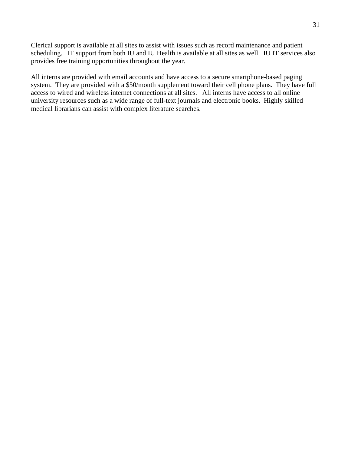Clerical support is available at all sites to assist with issues such as record maintenance and patient scheduling. IT support from both IU and IU Health is available at all sites as well. IU IT services also provides free training opportunities throughout the year.

All interns are provided with email accounts and have access to a secure smartphone-based paging system. They are provided with a \$50/month supplement toward their cell phone plans. They have full access to wired and wireless internet connections at all sites. All interns have access to all online university resources such as a wide range of full-text journals and electronic books. Highly skilled medical librarians can assist with complex literature searches.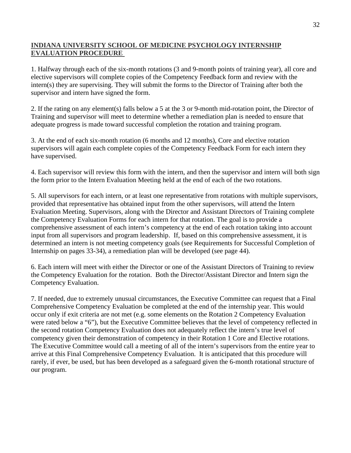## **INDIANA UNIVERSITY SCHOOL OF MEDICINE PSYCHOLOGY INTERNSHIP EVALUATION PROCEDURE**

1. Halfway through each of the six-month rotations (3 and 9-month points of training year), all core and elective supervisors will complete copies of the Competency Feedback form and review with the intern(s) they are supervising. They will submit the forms to the Director of Training after both the supervisor and intern have signed the form.

2. If the rating on any element(s) falls below a 5 at the 3 or 9-month mid-rotation point, the Director of Training and supervisor will meet to determine whether a remediation plan is needed to ensure that adequate progress is made toward successful completion the rotation and training program.

3. At the end of each six-month rotation (6 months and 12 months), Core and elective rotation supervisors will again each complete copies of the Competency Feedback Form for each intern they have supervised.

4. Each supervisor will review this form with the intern, and then the supervisor and intern will both sign the form prior to the Intern Evaluation Meeting held at the end of each of the two rotations.

5. All supervisors for each intern, or at least one representative from rotations with multiple supervisors, provided that representative has obtained input from the other supervisors, will attend the Intern Evaluation Meeting. Supervisors, along with the Director and Assistant Directors of Training complete the Competency Evaluation Forms for each intern for that rotation. The goal is to provide a comprehensive assessment of each intern's competency at the end of each rotation taking into account input from all supervisors and program leadership. If, based on this comprehensive assessment, it is determined an intern is not meeting competency goals (see Requirements for Successful Completion of Internship on pages 33-34), a remediation plan will be developed (see page 44).

6. Each intern will meet with either the Director or one of the Assistant Directors of Training to review the Competency Evaluation for the rotation. Both the Director/Assistant Director and Intern sign the Competency Evaluation.

7. If needed, due to extremely unusual circumstances, the Executive Committee can request that a Final Comprehensive Competency Evaluation be completed at the end of the internship year. This would occur only if exit criteria are not met (e.g. some elements on the Rotation 2 Competency Evaluation were rated below a "6"), but the Executive Committee believes that the level of competency reflected in the second rotation Competency Evaluation does not adequately reflect the intern's true level of competency given their demonstration of competency in their Rotation 1 Core and Elective rotations. The Executive Committee would call a meeting of all of the intern's supervisors from the entire year to arrive at this Final Comprehensive Competency Evaluation. It is anticipated that this procedure will rarely, if ever, be used, but has been developed as a safeguard given the 6-month rotational structure of our program.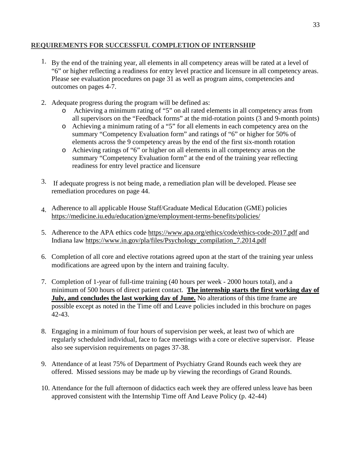## **REQUIREMENTS FOR SUCCESSFUL COMPLETION OF INTERNSHIP**

- <sup>1</sup>. By the end of the training year, all elements in all competency areas will be rated at a level of "6" or higher reflecting a readiness for entry level practice and licensure in all competency areas. Please see evaluation procedures on page 31 as well as program aims, competencies and outcomes on pages 4-7.
- 2. Adequate progress during the program will be defined as:
	- o Achieving a minimum rating of "5" on all rated elements in all competency areas from all supervisors on the "Feedback forms" at the mid-rotation points  $(3 \text{ and } 9 \text{-month points})$
	- o Achieving a minimum rating of a "5" for all elements in each competency area on the summary "Competency Evaluation form" and ratings of "6" or higher for 50% of elements across the 9 competency areas by the end of the first six-month rotation
	- o Achieving ratings of "6" or higher on all elements in all competency areas on the summary "Competency Evaluation form" at the end of the training year reflecting readiness for entry level practice and licensure
- 3. If adequate progress is not being made, a remediation plan will be developed. Please see remediation procedures on page 44.
- 4. Adherence to all applicable House Staff/Graduate Medical Education (GME) policies https://medicine.iu.edu/education/gme/employment-terms-benefits/policies/
- 5. Adherence to the APA ethics code<https://www.apa.org/ethics/code/ethics-code-2017.pdf> and Indiana law [https://www.in.gov/pla/files/Psychology\\_compilation\\_7.2014.pdf](https://www.in.gov/pla/files/Psychology_compilation_7.2014.pdf)
- 6. Completion of all core and elective rotations agreed upon at the start of the training year unless modifications are agreed upon by the intern and training faculty.
- 7. Completion of 1-year of full-time training (40 hours per week 2000 hours total), and a minimum of 500 hours of direct patient contact. **The internship starts the first working day of July, and concludes the last working day of June.** No alterations of this time frame are possible except as noted in the Time off and Leave policies included in this brochure on pages 42-43.
- 8. Engaging in a minimum of four hours of supervision per week, at least two of which are regularly scheduled individual, face to face meetings with a core or elective supervisor. Please also see supervision requirements on pages 37-38.
- 9. Attendance of at least 75% of Department of Psychiatry Grand Rounds each week they are offered. Missed sessions may be made up by viewing the recordings of Grand Rounds.
- 10. Attendance for the full afternoon of didactics each week they are offered unless leave has been approved consistent with the Internship Time off And Leave Policy (p. 42-44)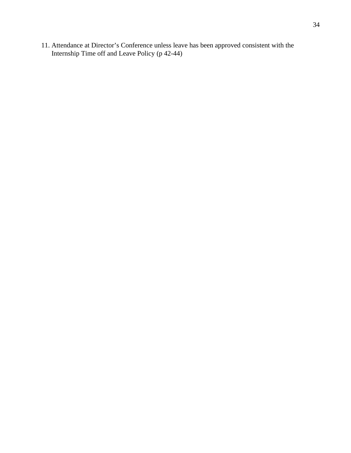11. Attendance at Director's Conference unless leave has been approved consistent with the Internship Time off and Leave Policy (p 42-44)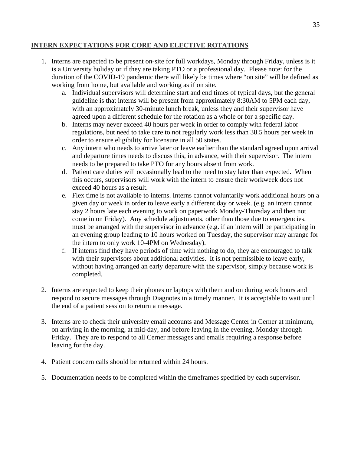## **INTERN EXPECTATIONS FOR CORE AND ELECTIVE ROTATIONS**

- 1. Interns are expected to be present on-site for full workdays, Monday through Friday, unless is it is a University holiday or if they are taking PTO or a professional day. Please note: for the duration of the COVID-19 pandemic there will likely be times where "on site" will be defined as working from home, but available and working as if on site.
	- a. Individual supervisors will determine start and end times of typical days, but the general guideline is that interns will be present from approximately 8:30AM to 5PM each day, with an approximately 30-minute lunch break, unless they and their supervisor have agreed upon a different schedule for the rotation as a whole or for a specific day.
	- b. Interns may never exceed 40 hours per week in order to comply with federal labor regulations, but need to take care to not regularly work less than 38.5 hours per week in order to ensure eligibility for licensure in all 50 states.
	- c. Any intern who needs to arrive later or leave earlier than the standard agreed upon arrival and departure times needs to discuss this, in advance, with their supervisor. The intern needs to be prepared to take PTO for any hours absent from work.
	- d. Patient care duties will occasionally lead to the need to stay later than expected. When this occurs, supervisors will work with the intern to ensure their workweek does not exceed 40 hours as a result.
	- e. Flex time is not available to interns. Interns cannot voluntarily work additional hours on a given day or week in order to leave early a different day or week. (e.g. an intern cannot stay 2 hours late each evening to work on paperwork Monday-Thursday and then not come in on Friday). Any schedule adjustments, other than those due to emergencies, must be arranged with the supervisor in advance (e.g. if an intern will be participating in an evening group leading to 10 hours worked on Tuesday, the supervisor may arrange for the intern to only work 10-4PM on Wednesday).
	- f. If interns find they have periods of time with nothing to do, they are encouraged to talk with their supervisors about additional activities. It is not permissible to leave early, without having arranged an early departure with the supervisor, simply because work is completed.
- 2. Interns are expected to keep their phones or laptops with them and on during work hours and respond to secure messages through Diagnotes in a timely manner. It is acceptable to wait until the end of a patient session to return a message.
- 3. Interns are to check their university email accounts and Message Center in Cerner at minimum, on arriving in the morning, at mid-day, and before leaving in the evening, Monday through Friday. They are to respond to all Cerner messages and emails requiring a response before leaving for the day.
- 4. Patient concern calls should be returned within 24 hours.
- 5. Documentation needs to be completed within the timeframes specified by each supervisor.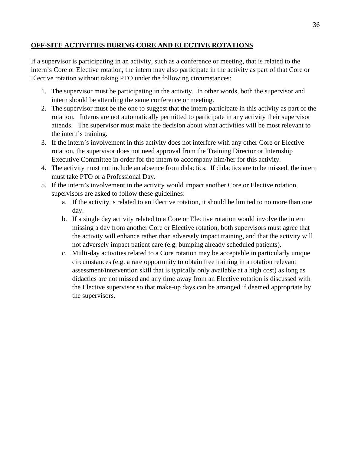## **OFF-SITE ACTIVITIES DURING CORE AND ELECTIVE ROTATIONS**

If a supervisor is participating in an activity, such as a conference or meeting, that is related to the intern's Core or Elective rotation, the intern may also participate in the activity as part of that Core or Elective rotation without taking PTO under the following circumstances:

- 1. The supervisor must be participating in the activity. In other words, both the supervisor and intern should be attending the same conference or meeting.
- 2. The supervisor must be the one to suggest that the intern participate in this activity as part of the rotation. Interns are not automatically permitted to participate in any activity their supervisor attends. The supervisor must make the decision about what activities will be most relevant to the intern's training.
- 3. If the intern's involvement in this activity does not interfere with any other Core or Elective rotation, the supervisor does not need approval from the Training Director or Internship Executive Committee in order for the intern to accompany him/her for this activity.
- 4. The activity must not include an absence from didactics. If didactics are to be missed, the intern must take PTO or a Professional Day.
- 5. If the intern's involvement in the activity would impact another Core or Elective rotation, supervisors are asked to follow these guidelines:
	- a. If the activity is related to an Elective rotation, it should be limited to no more than one day.
	- b. If a single day activity related to a Core or Elective rotation would involve the intern missing a day from another Core or Elective rotation, both supervisors must agree that the activity will enhance rather than adversely impact training, and that the activity will not adversely impact patient care (e.g. bumping already scheduled patients).
	- c. Multi-day activities related to a Core rotation may be acceptable in particularly unique circumstances (e.g. a rare opportunity to obtain free training in a rotation relevant assessment/intervention skill that is typically only available at a high cost) as long as didactics are not missed and any time away from an Elective rotation is discussed with the Elective supervisor so that make-up days can be arranged if deemed appropriate by the supervisors.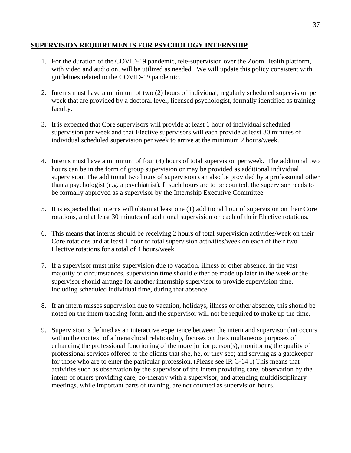### **SUPERVISION REQUIREMENTS FOR PSYCHOLOGY INTERNSHIP**

- 1. For the duration of the COVID-19 pandemic, tele-supervision over the Zoom Health platform, with video and audio on, will be utilized as needed. We will update this policy consistent with guidelines related to the COVID-19 pandemic.
- 2. Interns must have a minimum of two (2) hours of individual, regularly scheduled supervision per week that are provided by a doctoral level, licensed psychologist, formally identified as training faculty.
- 3. It is expected that Core supervisors will provide at least 1 hour of individual scheduled supervision per week and that Elective supervisors will each provide at least 30 minutes of individual scheduled supervision per week to arrive at the minimum 2 hours/week.
- 4. Interns must have a minimum of four (4) hours of total supervision per week. The additional two hours can be in the form of group supervision or may be provided as additional individual supervision. The additional two hours of supervision can also be provided by a professional other than a psychologist (e.g. a psychiatrist). If such hours are to be counted, the supervisor needs to be formally approved as a supervisor by the Internship Executive Committee.
- 5. It is expected that interns will obtain at least one (1) additional hour of supervision on their Core rotations, and at least 30 minutes of additional supervision on each of their Elective rotations.
- 6. This means that interns should be receiving 2 hours of total supervision activities/week on their Core rotations and at least 1 hour of total supervision activities/week on each of their two Elective rotations for a total of 4 hours/week.
- 7. If a supervisor must miss supervision due to vacation, illness or other absence, in the vast majority of circumstances, supervision time should either be made up later in the week or the supervisor should arrange for another internship supervisor to provide supervision time, including scheduled individual time, during that absence.
- 8. If an intern misses supervision due to vacation, holidays, illness or other absence, this should be noted on the intern tracking form, and the supervisor will not be required to make up the time.
- 9. Supervision is defined as an interactive experience between the intern and supervisor that occurs within the context of a hierarchical relationship, focuses on the simultaneous purposes of enhancing the professional functioning of the more junior person(s); monitoring the quality of professional services offered to the clients that she, he, or they see; and serving as a gatekeeper for those who are to enter the particular profession. (Please see IR C-14 I) This means that activities such as observation by the supervisor of the intern providing care, observation by the intern of others providing care, co-therapy with a supervisor, and attending multidisciplinary meetings, while important parts of training, are not counted as supervision hours.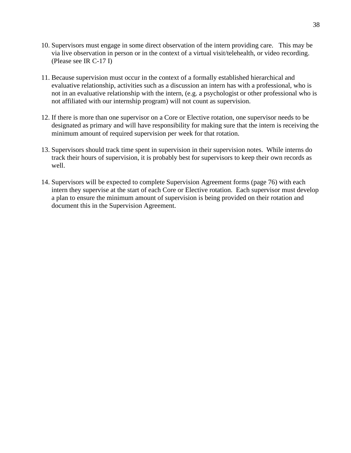- 10. Supervisors must engage in some direct observation of the intern providing care. This may be via live observation in person or in the context of a virtual visit/telehealth, or video recording. (Please see IR C-17 I)
- 11. Because supervision must occur in the context of a formally established hierarchical and evaluative relationship, activities such as a discussion an intern has with a professional, who is not in an evaluative relationship with the intern, (e.g. a psychologist or other professional who is not affiliated with our internship program) will not count as supervision.
- 12. If there is more than one supervisor on a Core or Elective rotation, one supervisor needs to be designated as primary and will have responsibility for making sure that the intern is receiving the minimum amount of required supervision per week for that rotation.
- 13. Supervisors should track time spent in supervision in their supervision notes. While interns do track their hours of supervision, it is probably best for supervisors to keep their own records as well.
- 14. Supervisors will be expected to complete Supervision Agreement forms (page 76) with each intern they supervise at the start of each Core or Elective rotation. Each supervisor must develop a plan to ensure the minimum amount of supervision is being provided on their rotation and document this in the Supervision Agreement.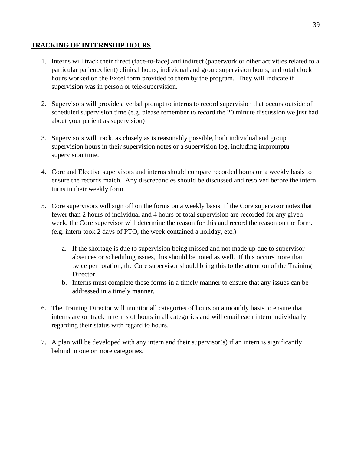# **TRACKING OF INTERNSHIP HOURS**

- 1. Interns will track their direct (face-to-face) and indirect (paperwork or other activities related to a particular patient/client) clinical hours, individual and group supervision hours, and total clock hours worked on the Excel form provided to them by the program. They will indicate if supervision was in person or tele-supervision.
- 2. Supervisors will provide a verbal prompt to interns to record supervision that occurs outside of scheduled supervision time (e.g. please remember to record the 20 minute discussion we just had about your patient as supervision)
- 3. Supervisors will track, as closely as is reasonably possible, both individual and group supervision hours in their supervision notes or a supervision log, including impromptu supervision time.
- 4. Core and Elective supervisors and interns should compare recorded hours on a weekly basis to ensure the records match. Any discrepancies should be discussed and resolved before the intern turns in their weekly form.
- 5. Core supervisors will sign off on the forms on a weekly basis. If the Core supervisor notes that fewer than 2 hours of individual and 4 hours of total supervision are recorded for any given week, the Core supervisor will determine the reason for this and record the reason on the form. (e.g. intern took 2 days of PTO, the week contained a holiday, etc.)
	- a. If the shortage is due to supervision being missed and not made up due to supervisor absences or scheduling issues, this should be noted as well. If this occurs more than twice per rotation, the Core supervisor should bring this to the attention of the Training Director.
	- b. Interns must complete these forms in a timely manner to ensure that any issues can be addressed in a timely manner.
- 6. The Training Director will monitor all categories of hours on a monthly basis to ensure that interns are on track in terms of hours in all categories and will email each intern individually regarding their status with regard to hours.
- 7. A plan will be developed with any intern and their supervisor(s) if an intern is significantly behind in one or more categories.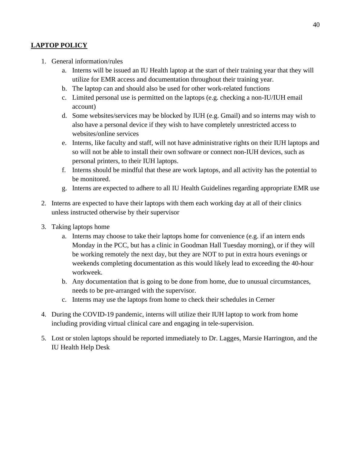# **LAPTOP POLICY**

- 1. General information/rules
	- a. Interns will be issued an IU Health laptop at the start of their training year that they will utilize for EMR access and documentation throughout their training year.
	- b. The laptop can and should also be used for other work-related functions
	- c. Limited personal use is permitted on the laptops (e.g. checking a non-IU/IUH email account)
	- d. Some websites/services may be blocked by IUH (e.g. Gmail) and so interns may wish to also have a personal device if they wish to have completely unrestricted access to websites/online services
	- e. Interns, like faculty and staff, will not have administrative rights on their IUH laptops and so will not be able to install their own software or connect non-IUH devices, such as personal printers, to their IUH laptops.
	- f. Interns should be mindful that these are work laptops, and all activity has the potential to be monitored.
	- g. Interns are expected to adhere to all IU Health Guidelines regarding appropriate EMR use
- 2. Interns are expected to have their laptops with them each working day at all of their clinics unless instructed otherwise by their supervisor
- 3. Taking laptops home
	- a. Interns may choose to take their laptops home for convenience (e.g. if an intern ends Monday in the PCC, but has a clinic in Goodman Hall Tuesday morning), or if they will be working remotely the next day, but they are NOT to put in extra hours evenings or weekends completing documentation as this would likely lead to exceeding the 40-hour workweek.
	- b. Any documentation that is going to be done from home, due to unusual circumstances, needs to be pre-arranged with the supervisor.
	- c. Interns may use the laptops from home to check their schedules in Cerner
- 4. During the COVID-19 pandemic, interns will utilize their IUH laptop to work from home including providing virtual clinical care and engaging in tele-supervision.
- 5. Lost or stolen laptops should be reported immediately to Dr. Lagges, Marsie Harrington, and the IU Health Help Desk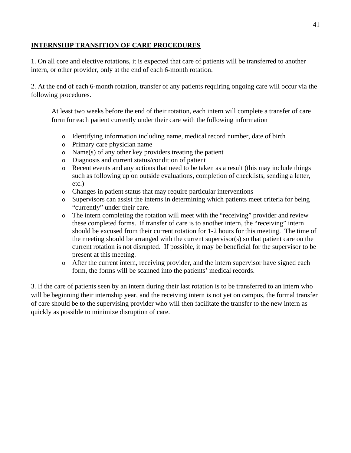## **INTERNSHIP TRANSITION OF CARE PROCEDURES**

1. On all core and elective rotations, it is expected that care of patients will be transferred to another intern, or other provider, only at the end of each 6-month rotation.

2. At the end of each 6-month rotation, transfer of any patients requiring ongoing care will occur via the following procedures.

At least two weeks before the end of their rotation, each intern will complete a transfer of care form for each patient currently under their care with the following information

- o Identifying information including name, medical record number, date of birth
- o Primary care physician name
- o Name(s) of any other key providers treating the patient
- o Diagnosis and current status/condition of patient
- o Recent events and any actions that need to be taken as a result (this may include things such as following up on outside evaluations, completion of checklists, sending a letter, etc.)
- o Changes in patient status that may require particular interventions
- o Supervisors can assist the interns in determining which patients meet criteria for being "currently" under their care.
- o The intern completing the rotation will meet with the "receiving" provider and review these completed forms. If transfer of care is to another intern, the "receiving" intern should be excused from their current rotation for 1-2 hours for this meeting. The time of the meeting should be arranged with the current supervisor(s) so that patient care on the current rotation is not disrupted. If possible, it may be beneficial for the supervisor to be present at this meeting.
- o After the current intern, receiving provider, and the intern supervisor have signed each form, the forms will be scanned into the patients' medical records.

3. If the care of patients seen by an intern during their last rotation is to be transferred to an intern who will be beginning their internship year, and the receiving intern is not yet on campus, the formal transfer of care should be to the supervising provider who will then facilitate the transfer to the new intern as quickly as possible to minimize disruption of care.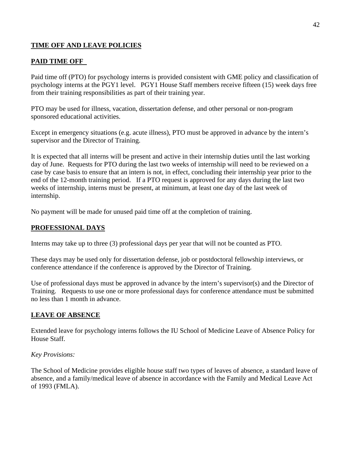# **TIME OFF AND LEAVE POLICIES**

# **PAID TIME OFF**

Paid time off (PTO) for psychology interns is provided consistent with GME policy and classification of psychology interns at the PGY1 level. PGY1 House Staff members receive fifteen (15) week days free from their training responsibilities as part of their training year.

PTO may be used for illness, vacation, dissertation defense, and other personal or non-program sponsored educational activities.

Except in emergency situations (e.g. acute illness), PTO must be approved in advance by the intern's supervisor and the Director of Training.

It is expected that all interns will be present and active in their internship duties until the last working day of June. Requests for PTO during the last two weeks of internship will need to be reviewed on a case by case basis to ensure that an intern is not, in effect, concluding their internship year prior to the end of the 12-month training period. If a PTO request is approved for any days during the last two weeks of internship, interns must be present, at minimum, at least one day of the last week of internship.

No payment will be made for unused paid time off at the completion of training.

## **PROFESSIONAL DAYS**

Interns may take up to three (3) professional days per year that will not be counted as PTO.

These days may be used only for dissertation defense, job or postdoctoral fellowship interviews, or conference attendance if the conference is approved by the Director of Training.

Use of professional days must be approved in advance by the intern's supervisor(s) and the Director of Training. Requests to use one or more professional days for conference attendance must be submitted no less than 1 month in advance.

## **LEAVE OF ABSENCE**

Extended leave for psychology interns follows the IU School of Medicine Leave of Absence Policy for House Staff.

## *Key Provisions:*

The School of Medicine provides eligible house staff two types of leaves of absence, a standard leave of absence, and a family/medical leave of absence in accordance with the Family and Medical Leave Act of 1993 (FMLA).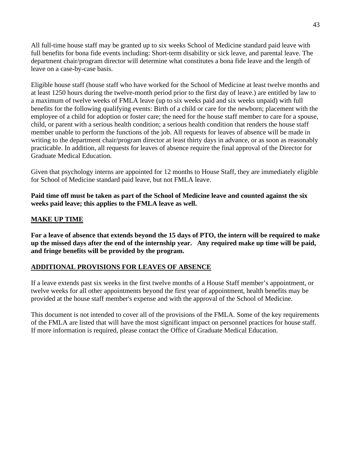All full-time house staff may be granted up to six weeks School of Medicine standard paid leave with full benefits for bona fide events including: Short-term disability or sick leave, and parental leave. The department chair/program director will determine what constitutes a bona fide leave and the length of leave on a case-by-case basis.

Eligible house staff (house staff who have worked for the School of Medicine at least twelve months and at least 1250 hours during the twelve-month period prior to the first day of leave.) are entitled by law to a maximum of twelve weeks of FMLA leave (up to six weeks paid and six weeks unpaid) with full benefits for the following qualifying events: Birth of a child or care for the newborn; placement with the employee of a child for adoption or foster care; the need for the house staff member to care for a spouse, child, or parent with a serious health condition; a serious health condition that renders the house staff member unable to perform the functions of the job. All requests for leaves of absence will be made in writing to the department chair/program director at least thirty days in advance, or as soon as reasonably practicable. In addition, all requests for leaves of absence require the final approval of the Director for Graduate Medical Education.

Given that psychology interns are appointed for 12 months to House Staff, they are immediately eligible for School of Medicine standard paid leave, but not FMLA leave.

**Paid time off must be taken as part of the School of Medicine leave and counted against the six weeks paid leave; this applies to the FMLA leave as well.**

# **MAKE UP TIME**

**For a leave of absence that extends beyond the 15 days of PTO, the intern will be required to make up the missed days after the end of the internship year. Any required make up time will be paid, and fringe benefits will be provided by the program.** 

## **ADDITIONAL PROVISIONS FOR LEAVES OF ABSENCE**

If a leave extends past six weeks in the first twelve months of a House Staff member's appointment, or twelve weeks for all other appointments beyond the first year of appointment, health benefits may be provided at the house staff member's expense and with the approval of the School of Medicine.

This document is not intended to cover all of the provisions of the FMLA. Some of the key requirements of the FMLA are listed that will have the most significant impact on personnel practices for house staff. If more information is required, please contact the Office of Graduate Medical Education.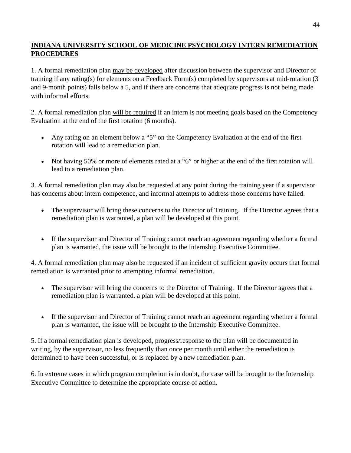# **INDIANA UNIVERSITY SCHOOL OF MEDICINE PSYCHOLOGY INTERN REMEDIATION PROCEDURES**

1. A formal remediation plan may be developed after discussion between the supervisor and Director of training if any rating(s) for elements on a Feedback Form(s) completed by supervisors at mid-rotation (3 and 9-month points) falls below a 5, and if there are concerns that adequate progress is not being made with informal efforts.

2. A formal remediation plan will be required if an intern is not meeting goals based on the Competency Evaluation at the end of the first rotation (6 months).

- Any rating on an element below a "5" on the Competency Evaluation at the end of the first rotation will lead to a remediation plan.
- Not having 50% or more of elements rated at a "6" or higher at the end of the first rotation will lead to a remediation plan.

3. A formal remediation plan may also be requested at any point during the training year if a supervisor has concerns about intern competence, and informal attempts to address those concerns have failed.

- The supervisor will bring these concerns to the Director of Training. If the Director agrees that a remediation plan is warranted, a plan will be developed at this point.
- If the supervisor and Director of Training cannot reach an agreement regarding whether a formal plan is warranted, the issue will be brought to the Internship Executive Committee.

4. A formal remediation plan may also be requested if an incident of sufficient gravity occurs that formal remediation is warranted prior to attempting informal remediation.

- The supervisor will bring the concerns to the Director of Training. If the Director agrees that a remediation plan is warranted, a plan will be developed at this point.
- If the supervisor and Director of Training cannot reach an agreement regarding whether a formal plan is warranted, the issue will be brought to the Internship Executive Committee.

5. If a formal remediation plan is developed, progress/response to the plan will be documented in writing, by the supervisor, no less frequently than once per month until either the remediation is determined to have been successful, or is replaced by a new remediation plan.

6. In extreme cases in which program completion is in doubt, the case will be brought to the Internship Executive Committee to determine the appropriate course of action.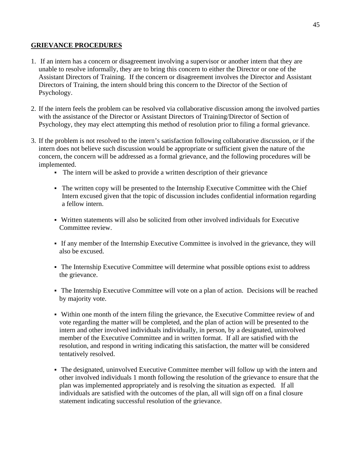### **GRIEVANCE PROCEDURES**

- 1. If an intern has a concern or disagreement involving a supervisor or another intern that they are unable to resolve informally, they are to bring this concern to either the Director or one of the Assistant Directors of Training. If the concern or disagreement involves the Director and Assistant Directors of Training, the intern should bring this concern to the Director of the Section of Psychology.
- 2. If the intern feels the problem can be resolved via collaborative discussion among the involved parties with the assistance of the Director or Assistant Directors of Training/Director of Section of Psychology, they may elect attempting this method of resolution prior to filing a formal grievance.
- 3. If the problem is not resolved to the intern's satisfaction following collaborative discussion, or if the intern does not believe such discussion would be appropriate or sufficient given the nature of the concern, the concern will be addressed as a formal grievance, and the following procedures will be implemented.
	- The intern will be asked to provide a written description of their grievance
	- The written copy will be presented to the Internship Executive Committee with the Chief Intern excused given that the topic of discussion includes confidential information regarding a fellow intern.
	- Written statements will also be solicited from other involved individuals for Executive Committee review.
	- If any member of the Internship Executive Committee is involved in the grievance, they will also be excused.
	- The Internship Executive Committee will determine what possible options exist to address the grievance.
	- The Internship Executive Committee will vote on a plan of action. Decisions will be reached by majority vote.
	- Within one month of the intern filing the grievance, the Executive Committee review of and vote regarding the matter will be completed, and the plan of action will be presented to the intern and other involved individuals individually, in person, by a designated, uninvolved member of the Executive Committee and in written format. If all are satisfied with the resolution, and respond in writing indicating this satisfaction, the matter will be considered tentatively resolved.
	- The designated, uninvolved Executive Committee member will follow up with the intern and other involved individuals 1 month following the resolution of the grievance to ensure that the plan was implemented appropriately and is resolving the situation as expected. If all individuals are satisfied with the outcomes of the plan, all will sign off on a final closure statement indicating successful resolution of the grievance.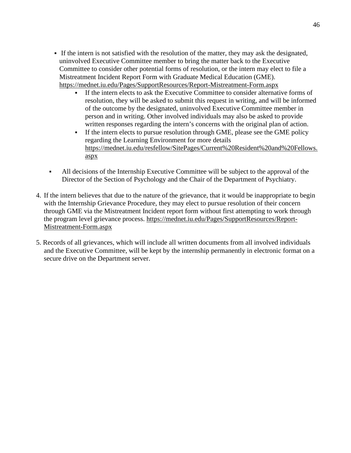- If the intern is not satisfied with the resolution of the matter, they may ask the designated, uninvolved Executive Committee member to bring the matter back to the Executive Committee to consider other potential forms of resolution, or the intern may elect to file a Mistreatment Incident Report Form with Graduate Medical Education (GME). https://mednet.iu.edu/Pages/SupportResources/Report-Mistreatment-Form.aspx
	- If the intern elects to ask the Executive Committee to consider alternative forms of resolution, they will be asked to submit this request in writing, and will be informed of the outcome by the designated, uninvolved Executive Committee member in person and in writing. Other involved individuals may also be asked to provide written responses regarding the intern's concerns with the original plan of action.
	- If the intern elects to pursue resolution through GME, please see the GME policy regarding the Learning Environment for more details https://mednet.iu.edu/resfellow/SitePages/Current%20Resident%20and%20Fellows. aspx
- All decisions of the Internship Executive Committee will be subject to the approval of the Director of the Section of Psychology and the Chair of the Department of Psychiatry.
- 4. If the intern believes that due to the nature of the grievance, that it would be inappropriate to begin with the Internship Grievance Procedure, they may elect to pursue resolution of their concern through GME via the Mistreatment Incident report form without first attempting to work through the program level grievance process. [https://mednet.iu.edu/Pages/SupportResources/Report-](https://mednet.iu.edu/Pages/SupportResources/Report-Mistreatment-Form.aspx)[Mistreatment-Form.aspx](https://mednet.iu.edu/Pages/SupportResources/Report-Mistreatment-Form.aspx)
- 5. Records of all grievances, which will include all written documents from all involved individuals and the Executive Committee, will be kept by the internship permanently in electronic format on a secure drive on the Department server.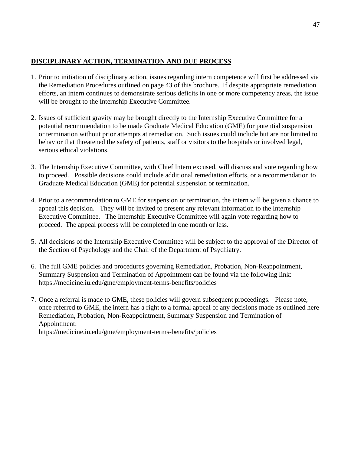# **DISCIPLINARY ACTION, TERMINATION AND DUE PROCESS**

- 1. Prior to initiation of disciplinary action, issues regarding intern competence will first be addressed via the Remediation Procedures outlined on page 43 of this brochure. If despite appropriate remediation efforts, an intern continues to demonstrate serious deficits in one or more competency areas, the issue will be brought to the Internship Executive Committee.
- 2. Issues of sufficient gravity may be brought directly to the Internship Executive Committee for a potential recommendation to be made Graduate Medical Education (GME) for potential suspension or termination without prior attempts at remediation. Such issues could include but are not limited to behavior that threatened the safety of patients, staff or visitors to the hospitals or involved legal, serious ethical violations.
- 3. The Internship Executive Committee, with Chief Intern excused, will discuss and vote regarding how to proceed. Possible decisions could include additional remediation efforts, or a recommendation to Graduate Medical Education (GME) for potential suspension or termination.
- 4. Prior to a recommendation to GME for suspension or termination, the intern will be given a chance to appeal this decision. They will be invited to present any relevant information to the Internship Executive Committee. The Internship Executive Committee will again vote regarding how to proceed. The appeal process will be completed in one month or less.
- 5. All decisions of the Internship Executive Committee will be subject to the approval of the Director of the Section of Psychology and the Chair of the Department of Psychiatry.
- 6. The full GME policies and procedures governing Remediation, Probation, Non-Reappointment, Summary Suspension and Termination of Appointment can be found via the following link: https://medicine.iu.edu/gme/employment-terms-benefits/policies
- 7. Once a referral is made to GME, these policies will govern subsequent proceedings. Please note, once referred to GME, the intern has a right to a formal appeal of any decisions made as outlined here Remediation, Probation, Non-Reappointment, Summary Suspension and Termination of Appointment: https://medicine.iu.edu/gme/employment-terms-benefits/policies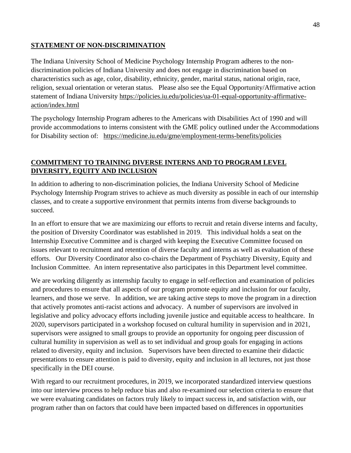# **STATEMENT OF NON-DISCRIMINATION**

The Indiana University School of Medicine Psychology Internship Program adheres to the nondiscrimination policies of Indiana University and does not engage in discrimination based on characteristics such as age, color, disability, ethnicity, gender, marital status, national origin, race, religion, sexual orientation or veteran status. Please also see the Equal Opportunity/Affirmative action statement of Indiana University https://policies.iu.edu/policies/ua-01-equal-opportunity-affirmativeaction/index.html

The psychology Internship Program adheres to the Americans with Disabilities Act of 1990 and will provide accommodations to interns consistent with the GME policy outlined under the Accommodations for Disability section of: <https://medicine.iu.edu/gme/employment-terms-benefits/policies>

# **COMMITMENT TO TRAINING DIVERSE INTERNS AND TO PROGRAM LEVEL DIVERSITY, EQUITY AND INCLUSION**

In addition to adhering to non-discrimination policies, the Indiana University School of Medicine Psychology Internship Program strives to achieve as much diversity as possible in each of our internship classes, and to create a supportive environment that permits interns from diverse backgrounds to succeed.

In an effort to ensure that we are maximizing our efforts to recruit and retain diverse interns and faculty, the position of Diversity Coordinator was established in 2019. This individual holds a seat on the Internship Executive Committee and is charged with keeping the Executive Committee focused on issues relevant to recruitment and retention of diverse faculty and interns as well as evaluation of these efforts. Our Diversity Coordinator also co-chairs the Department of Psychiatry Diversity, Equity and Inclusion Committee. An intern representative also participates in this Department level committee.

We are working diligently as internship faculty to engage in self-reflection and examination of policies and procedures to ensure that all aspects of our program promote equity and inclusion for our faculty, learners, and those we serve. In addition, we are taking active steps to move the program in a direction that actively promotes anti-racist actions and advocacy. A number of supervisors are involved in legislative and policy advocacy efforts including juvenile justice and equitable access to healthcare. In 2020, supervisors participated in a workshop focused on cultural humility in supervision and in 2021, supervisors were assigned to small groups to provide an opportunity for ongoing peer discussion of cultural humility in supervision as well as to set individual and group goals for engaging in actions related to diversity, equity and inclusion. Supervisors have been directed to examine their didactic presentations to ensure attention is paid to diversity, equity and inclusion in all lectures, not just those specifically in the DEI course.

With regard to our recruitment procedures, in 2019, we incorporated standardized interview questions into our interview process to help reduce bias and also re-examined our selection criteria to ensure that we were evaluating candidates on factors truly likely to impact success in, and satisfaction with, our program rather than on factors that could have been impacted based on differences in opportunities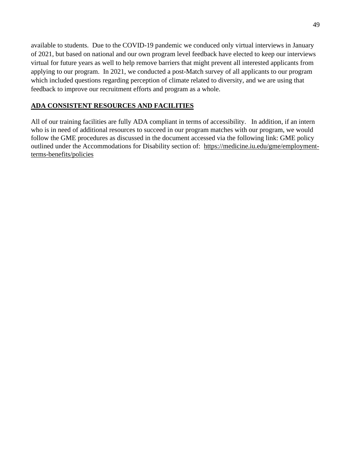available to students. Due to the COVID-19 pandemic we conduced only virtual interviews in January of 2021, but based on national and our own program level feedback have elected to keep our interviews virtual for future years as well to help remove barriers that might prevent all interested applicants from applying to our program. In 2021, we conducted a post-Match survey of all applicants to our program which included questions regarding perception of climate related to diversity, and we are using that feedback to improve our recruitment efforts and program as a whole.

# **ADA CONSISTENT RESOURCES AND FACILITIES**

All of our training facilities are fully ADA compliant in terms of accessibility. In addition, if an intern who is in need of additional resources to succeed in our program matches with our program, we would follow the GME procedures as discussed in the document accessed via the following link: GME policy outlined under the Accommodations for Disability section of: [https://medicine.iu.edu/gme/employment](https://medicine.iu.edu/gme/employment-terms-benefits/policies)[terms-benefits/policies](https://medicine.iu.edu/gme/employment-terms-benefits/policies)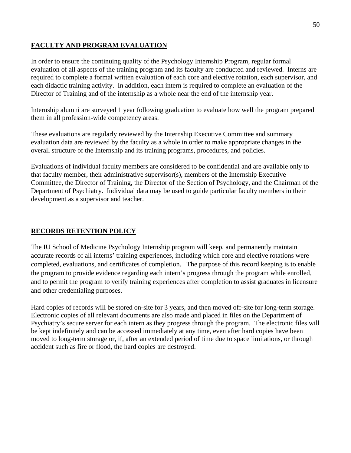# **FACULTY AND PROGRAM EVALUATION**

In order to ensure the continuing quality of the Psychology Internship Program, regular formal evaluation of all aspects of the training program and its faculty are conducted and reviewed. Interns are required to complete a formal written evaluation of each core and elective rotation, each supervisor, and each didactic training activity. In addition, each intern is required to complete an evaluation of the Director of Training and of the internship as a whole near the end of the internship year.

Internship alumni are surveyed 1 year following graduation to evaluate how well the program prepared them in all profession-wide competency areas.

These evaluations are regularly reviewed by the Internship Executive Committee and summary evaluation data are reviewed by the faculty as a whole in order to make appropriate changes in the overall structure of the Internship and its training programs, procedures, and policies.

Evaluations of individual faculty members are considered to be confidential and are available only to that faculty member, their administrative supervisor(s), members of the Internship Executive Committee, the Director of Training, the Director of the Section of Psychology, and the Chairman of the Department of Psychiatry. Individual data may be used to guide particular faculty members in their development as a supervisor and teacher.

# **RECORDS RETENTION POLICY**

The IU School of Medicine Psychology Internship program will keep, and permanently maintain accurate records of all interns' training experiences, including which core and elective rotations were completed, evaluations, and certificates of completion. The purpose of this record keeping is to enable the program to provide evidence regarding each intern's progress through the program while enrolled, and to permit the program to verify training experiences after completion to assist graduates in licensure and other credentialing purposes.

Hard copies of records will be stored on-site for 3 years, and then moved off-site for long-term storage. Electronic copies of all relevant documents are also made and placed in files on the Department of Psychiatry's secure server for each intern as they progress through the program. The electronic files will be kept indefinitely and can be accessed immediately at any time, even after hard copies have been moved to long-term storage or, if, after an extended period of time due to space limitations, or through accident such as fire or flood, the hard copies are destroyed.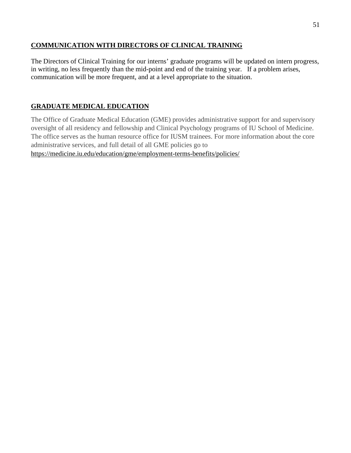# **COMMUNICATION WITH DIRECTORS OF CLINICAL TRAINING**

The Directors of Clinical Training for our interns' graduate programs will be updated on intern progress, in writing, no less frequently than the mid-point and end of the training year. If a problem arises, communication will be more frequent, and at a level appropriate to the situation.

# **GRADUATE MEDICAL EDUCATION**

The Office of Graduate Medical Education (GME) provides administrative support for and supervisory oversight of all residency and fellowship and Clinical Psychology programs of IU School of Medicine. The office serves as the human resource office for IUSM trainees. For more information about the core administrative services, and full detail of all GME policies go to https://medicine.iu.edu/education/gme/employment-terms-benefits/policies/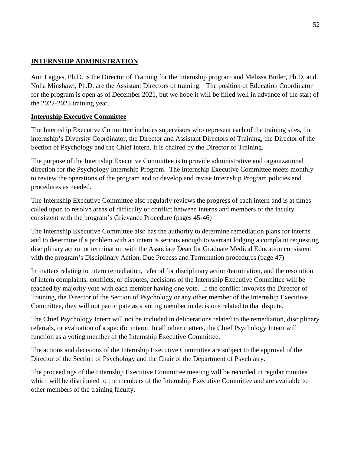# **INTERNSHIP ADMINISTRATION**

Ann Lagges, Ph.D. is the Director of Training for the Internship program and Melissa Butler, Ph.D. and Noha Minshawi, Ph.D. are the Assistant Directors of training. The position of Education Coordinator for the program is open as of December 2021, but we hope it will be filled well in advance of the start of the 2022-2023 training year.

## **Internship Executive Committee**

The Internship Executive Committee includes supervisors who represent each of the training sites, the internship's Diversity Coordinator, the Director and Assistant Directors of Training, the Director of the Section of Psychology and the Chief Intern. It is chaired by the Director of Training.

The purpose of the Internship Executive Committee is to provide administrative and organizational direction for the Psychology Internship Program. The Internship Executive Committee meets monthly to review the operations of the program and to develop and revise Internship Program policies and procedures as needed.

The Internship Executive Committee also regularly reviews the progress of each intern and is at times called upon to resolve areas of difficulty or conflict between interns and members of the faculty consistent with the program's Grievance Procedure (pages 45-46)

The Internship Executive Committee also has the authority to determine remediation plans for interns and to determine if a problem with an intern is serious enough to warrant lodging a complaint requesting disciplinary action or termination with the Associate Dean for Graduate Medical Education consistent with the program's Disciplinary Action, Due Process and Termination procedures (page 47)

In matters relating to intern remediation, referral for disciplinary action/termination, and the resolution of intern complaints, conflicts, or disputes, decisions of the Internship Executive Committee will be reached by majority vote with each member having one vote. If the conflict involves the Director of Training, the Director of the Section of Psychology or any other member of the Internship Executive Committee, they will not participate as a voting member in decisions related to that dispute.

The Chief Psychology Intern will not be included in deliberations related to the remediation, disciplinary referrals, or evaluation of a specific intern. In all other matters, the Chief Psychology Intern will function as a voting member of the Internship Executive Committee.

The actions and decisions of the Internship Executive Committee are subject to the approval of the Director of the Section of Psychology and the Chair of the Department of Psychiatry.

The proceedings of the Internship Executive Committee meeting will be recorded in regular minutes which will be distributed to the members of the Internship Executive Committee and are available to other members of the training faculty.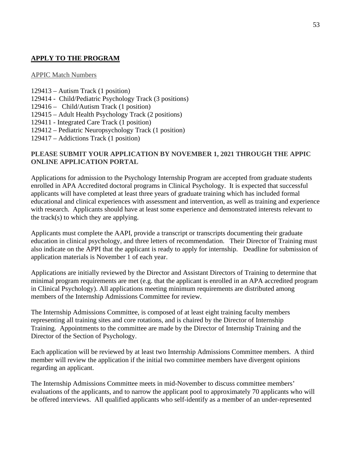# **APPLY TO THE PROGRAM**

### APPIC Match Numbers

- 129413 Autism Track (1 position)
- 129414 Child/Pediatric Psychology Track (3 positions)
- 129416 Child/Autism Track (1 position)
- 129415 Adult Health Psychology Track (2 positions)
- 129411 Integrated Care Track (1 position)
- 129412 Pediatric Neuropsychology Track (1 position)
- 129417 Addictions Track (1 position)

# **PLEASE SUBMIT YOUR APPLICATION BY NOVEMBER 1, 2021 THROUGH THE APPIC ONLINE APPLICATION PORTAL**

Applications for admission to the Psychology Internship Program are accepted from graduate students enrolled in APA Accredited doctoral programs in Clinical Psychology. It is expected that successful applicants will have completed at least three years of graduate training which has included formal educational and clinical experiences with assessment and intervention, as well as training and experience with research. Applicants should have at least some experience and demonstrated interests relevant to the track(s) to which they are applying.

Applicants must complete the AAPI, provide a transcript or transcripts documenting their graduate education in clinical psychology, and three letters of recommendation. Their Director of Training must also indicate on the APPI that the applicant is ready to apply for internship. Deadline for submission of application materials is November 1 of each year.

Applications are initially reviewed by the Director and Assistant Directors of Training to determine that minimal program requirements are met (e.g. that the applicant is enrolled in an APA accredited program in Clinical Psychology). All applications meeting minimum requirements are distributed among members of the Internship Admissions Committee for review.

The Internship Admissions Committee, is composed of at least eight training faculty members representing all training sites and core rotations, and is chaired by the Director of Internship Training. Appointments to the committee are made by the Director of Internship Training and the Director of the Section of Psychology.

Each application will be reviewed by at least two Internship Admissions Committee members. A third member will review the application if the initial two committee members have divergent opinions regarding an applicant.

The Internship Admissions Committee meets in mid-November to discuss committee members' evaluations of the applicants, and to narrow the applicant pool to approximately 70 applicants who will be offered interviews. All qualified applicants who self-identify as a member of an under-represented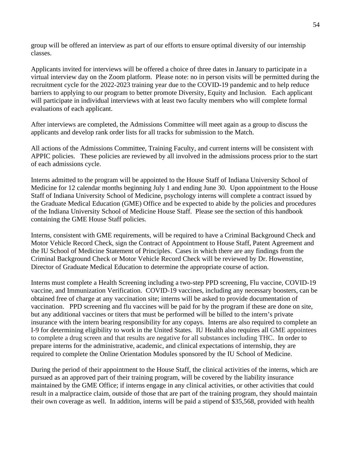group will be offered an interview as part of our efforts to ensure optimal diversity of our internship classes.

Applicants invited for interviews will be offered a choice of three dates in January to participate in a virtual interview day on the Zoom platform. Please note: no in person visits will be permitted during the recruitment cycle for the 2022-2023 training year due to the COVID-19 pandemic and to help reduce barriers to applying to our program to better promote Diversity, Equity and Inclusion. Each applicant will participate in individual interviews with at least two faculty members who will complete formal evaluations of each applicant.

After interviews are completed, the Admissions Committee will meet again as a group to discuss the applicants and develop rank order lists for all tracks for submission to the Match.

All actions of the Admissions Committee, Training Faculty, and current interns will be consistent with APPIC policies. These policies are reviewed by all involved in the admissions process prior to the start of each admissions cycle.

Interns admitted to the program will be appointed to the House Staff of Indiana University School of Medicine for 12 calendar months beginning July 1 and ending June 30. Upon appointment to the House Staff of Indiana University School of Medicine, psychology interns will complete a contract issued by the Graduate Medical Education (GME) Office and be expected to abide by the policies and procedures of the Indiana University School of Medicine House Staff. Please see the section of this handbook containing the GME House Staff policies.

Interns, consistent with GME requirements, will be required to have a Criminal Background Check and Motor Vehicle Record Check, sign the Contract of Appointment to House Staff, Patent Agreement and the IU School of Medicine Statement of Principles. Cases in which there are any findings from the Criminal Background Check or Motor Vehicle Record Check will be reviewed by Dr. Howenstine, Director of Graduate Medical Education to determine the appropriate course of action.

Interns must complete a Health Screening including a two-step PPD screening, Flu vaccine, COVID-19 vaccine, and Immunization Verification. COVID-19 vaccines, including any necessary boosters, can be obtained free of charge at any vaccination site; interns will be asked to provide documentation of vaccination. PPD screening and flu vaccines will be paid for by the program if these are done on site, but any additional vaccines or titers that must be performed will be billed to the intern's private insurance with the intern bearing responsibility for any copays. Interns are also required to complete an I-9 for determining eligibility to work in the United States. IU Health also requires all GME appointees to complete a drug screen and that results are negative for all substances including THC. In order to prepare interns for the administrative, academic, and clinical expectations of internship, they are required to complete the Online Orientation Modules sponsored by the IU School of Medicine.

During the period of their appointment to the House Staff, the clinical activities of the interns, which are pursued as an approved part of their training program, will be covered by the liability insurance maintained by the GME Office; if interns engage in any clinical activities, or other activities that could result in a malpractice claim, outside of those that are part of the training program, they should maintain their own coverage as well. In addition, interns will be paid a stipend of \$35,568, provided with health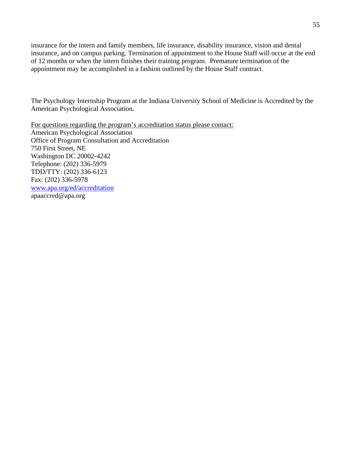insurance for the intern and family members, life insurance, disability insurance, vision and dental insurance, and on campus parking. Termination of appointment to the House Staff will occur at the end of 12 months or when the intern finishes their training program. Premature termination of the appointment may be accomplished in a fashion outlined by the House Staff contract.

The Psychology Internship Program at the Indiana University School of Medicine is Accredited by the American Psychological Association.

For questions regarding the program's accreditation status please contact: American Psychological Association Office of Program Consultation and Accreditation 750 First Street, NE Washington DC 20002-4242 Telephone: (202) 336-5979 TDD/TTY: (202) 336-6123 Fax: (202) 336-5978 [www.apa.org/ed/accreditation](http://www.apa.org/ed/accreditation) apaaccred@apa.org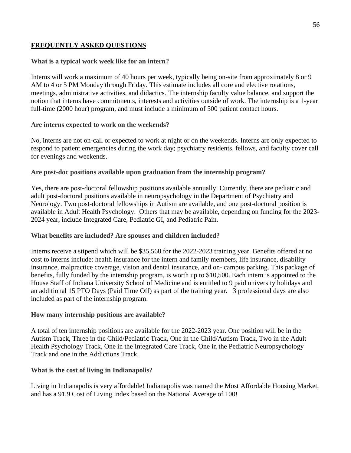### **FREQUENTLY ASKED QUESTIONS**

### **What is a typical work week like for an intern?**

Interns will work a maximum of 40 hours per week, typically being on-site from approximately 8 or 9 AM to 4 or 5 PM Monday through Friday. This estimate includes all core and elective rotations, meetings, administrative activities, and didactics. The internship faculty value balance, and support the notion that interns have commitments, interests and activities outside of work. The internship is a 1-year full-time (2000 hour) program, and must include a minimum of 500 patient contact hours.

### **Are interns expected to work on the weekends?**

No, interns are not on-call or expected to work at night or on the weekends. Interns are only expected to respond to patient emergencies during the work day; psychiatry residents, fellows, and faculty cover call for evenings and weekends.

### **Are post-doc positions available upon graduation from the internship program?**

Yes, there are post-doctoral fellowship positions available annually. Currently, there are pediatric and adult post-doctoral positions available in neuropsychology in the Department of Psychiatry and Neurology. Two post-doctoral fellowships in Autism are available, and one post-doctoral position is available in Adult Health Psychology. Others that may be available, depending on funding for the 2023- 2024 year, include Integrated Care, Pediatric GI, and Pediatric Pain.

### **What benefits are included? Are spouses and children included?**

Interns receive a stipend which will be \$35,568 for the 2022-2023 training year. Benefits offered at no cost to interns include: health insurance for the intern and family members, life insurance, disability insurance, malpractice coverage, vision and dental insurance, and on- campus parking. This package of benefits, fully funded by the internship program, is worth up to \$10,500. Each intern is appointed to the House Staff of Indiana University School of Medicine and is entitled to 9 paid university holidays and an additional 15 PTO Days (Paid Time Off) as part of the training year. 3 professional days are also included as part of the internship program.

### **How many internship positions are available?**

A total of ten internship positions are available for the 2022-2023 year. One position will be in the Autism Track, Three in the Child/Pediatric Track, One in the Child/Autism Track, Two in the Adult Health Psychology Track, One in the Integrated Care Track, One in the Pediatric Neuropsychology Track and one in the Addictions Track.

## **What is the cost of living in Indianapolis?**

Living in Indianapolis is very affordable! Indianapolis was named the Most Affordable Housing Market, and has a 91.9 Cost of Living Index based on the National Average of 100!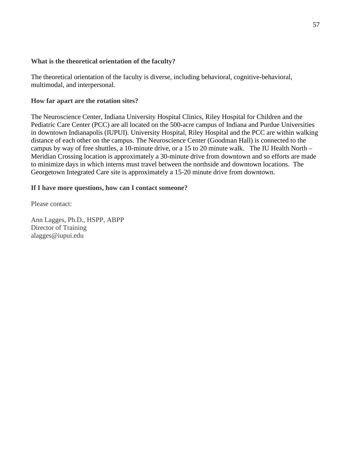### **What is the theoretical orientation of the faculty?**

The theoretical orientation of the faculty is diverse, including behavioral, cognitive-behavioral, multimodal, and interpersonal.

### **How far apart are the rotation sites?**

The Neuroscience Center, Indiana University Hospital Clinics, Riley Hospital for Children and the Pediatric Care Center (PCC) are all located on the 500-acre campus of Indiana and Purdue Universities in downtown Indianapolis (IUPUI). University Hospital, Riley Hospital and the PCC are within walking distance of each other on the campus. The Neuroscience Center (Goodman Hall) is connected to the campus by way of free shuttles, a 10-minute drive, or a 15 to 20 minute walk. The IU Health North – Meridian Crossing location is approximately a 30-minute drive from downtown and so efforts are made to minimize days in which interns must travel between the northside and downtown locations. The Georgetown Integrated Care site is approximately a 15-20 minute drive from downtown.

### **If I have more questions, how can I contact someone?**

Please contact:

Ann Lagges, Ph.D., HSPP, ABPP Director of Training alagges@iupui.edu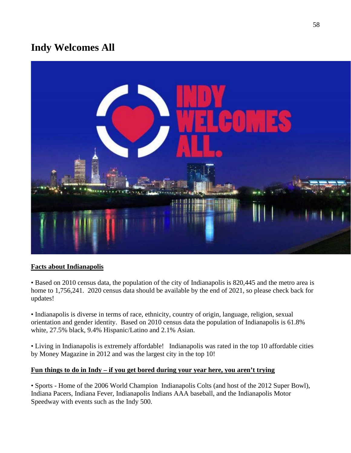# **Indy Welcomes All**



## **Facts about Indianapolis**

• Based on 2010 census data, the population of the city of Indianapolis is 820,445 and the metro area is home to 1,756,241. 2020 census data should be available by the end of 2021, so please check back for updates!

• Indianapolis is diverse in terms of race, ethnicity, country of origin, language, religion, sexual orientation and gender identity. Based on 2010 census data the population of Indianapolis is 61.8% white, 27.5% black, 9.4% Hispanic/Latino and 2.1% Asian.

• Living in Indianapolis is extremely affordable! Indianapolis was rated in the top 10 affordable cities by Money Magazine in 2012 and was the largest city in the top 10!

## **Fun things to do in Indy – if you get bored during your year here, you aren't trying**

• Sports - Home of the 2006 World Champion Indianapolis Colts (and host of the 2012 Super Bowl), Indiana Pacers, Indiana Fever, Indianapolis Indians AAA baseball, and the Indianapolis Motor Speedway with events such as the Indy 500.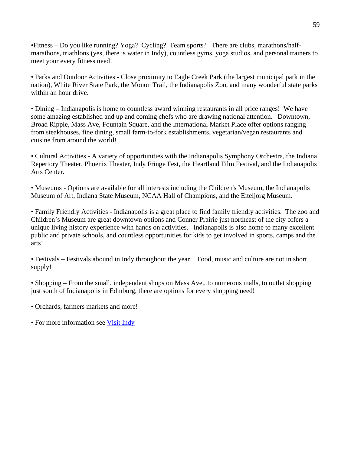•Fitness – Do you like running? Yoga? Cycling? Team sports? There are clubs, marathons/halfmarathons, triathlons (yes, there is water in Indy), countless gyms, yoga studios, and personal trainers to meet your every fitness need!

• Parks and Outdoor Activities - Close proximity to Eagle Creek Park (the largest municipal park in the nation), White River State Park, the Monon Trail, the Indianapolis Zoo, and many wonderful state parks within an hour drive.

• Dining – Indianapolis is home to countless award winning restaurants in all price ranges! We have some amazing established and up and coming chefs who are drawing national attention. Downtown, Broad Ripple, Mass Ave, Fountain Square, and the International Market Place offer options ranging from steakhouses, fine dining, small farm-to-fork establishments, vegetarian/vegan restaurants and cuisine from around the world!

• Cultural Activities - A variety of opportunities with the Indianapolis Symphony Orchestra, the Indiana Repertory Theater, Phoenix Theater, Indy Fringe Fest, the Heartland Film Festival, and the Indianapolis Arts Center.

• Museums - Options are available for all interests including the Children's Museum, the Indianapolis Museum of Art, Indiana State Museum, NCAA Hall of Champions, and the Eiteljorg Museum.

• Family Friendly Activities - Indianapolis is a great place to find family friendly activities. The zoo and Children's Museum are great downtown options and Conner Prairie just northeast of the city offers a unique living history experience with hands on activities. Indianapolis is also home to many excellent public and private schools, and countless opportunities for kids to get involved in sports, camps and the arts!

• Festivals – Festivals abound in Indy throughout the year! Food, music and culture are not in short supply!

• Shopping – From the small, independent shops on Mass Ave., to numerous malls, to outlet shopping just south of Indianapolis in Edinburg, there are options for every shopping need!

• Orchards, farmers markets and more!

• For more information see [Visit Indy](http://www.visitindy.com/)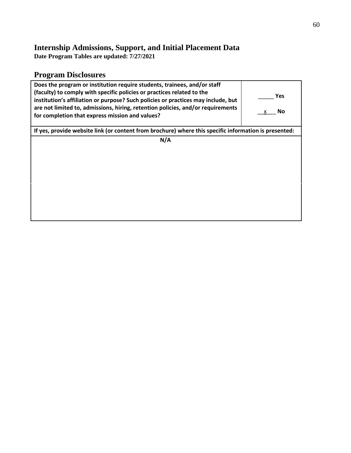# **Internship Admissions, Support, and Initial Placement Data**

**Date Program Tables are updated: 7/27/2021**

# **Program Disclosures**

| Does the program or institution require students, trainees, and/or staff<br>(faculty) to comply with specific policies or practices related to the<br>institution's affiliation or purpose? Such policies or practices may include, but<br>are not limited to, admissions, hiring, retention policies, and/or requirements<br>for completion that express mission and values? | <b>Yes</b><br><b>No</b> |
|-------------------------------------------------------------------------------------------------------------------------------------------------------------------------------------------------------------------------------------------------------------------------------------------------------------------------------------------------------------------------------|-------------------------|
| If yes, provide website link (or content from brochure) where this specific information is presented:                                                                                                                                                                                                                                                                         |                         |
| N/A                                                                                                                                                                                                                                                                                                                                                                           |                         |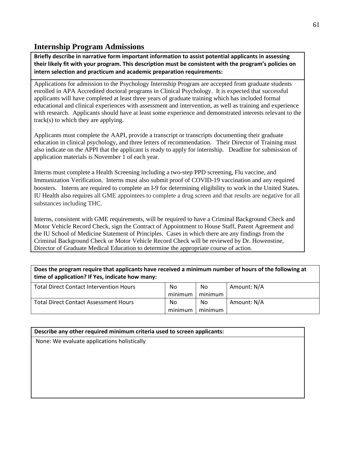# **Internship Program Admissions**

**Briefly describe in narrative form important information to assist potential applicants in assessing their likely fit with your program. This description must be consistent with the program's policies on intern selection and practicum and academic preparation requirements:**

Applications for admission to the Psychology Internship Program are accepted from graduate students enrolled in APA Accredited doctoral programs in Clinical Psychology. It is expected that successful applicants will have completed at least three years of graduate training which has included formal educational and clinical experiences with assessment and intervention, as well as training and experience with research. Applicants should have at least some experience and demonstrated interests relevant to the track(s) to which they are applying.

Applicants must complete the AAPI, provide a transcript or transcripts documenting their graduate education in clinical psychology, and three letters of recommendation. Their Director of Training must also indicate on the APPI that the applicant is ready to apply for internship. Deadline for submission of application materials is November 1 of each year.

Interns must complete a Health Screening including a two-step PPD screening, Flu vaccine, and Immunization Verification. Interns must also submit proof of COVID-19 vaccination and any required boosters. Interns are required to complete an I-9 for determining eligibility to work in the United States. IU Health also requires all GME appointees to complete a drug screen and that results are negative for all substances including THC.

Interns, consistent with GME requirements, will be required to have a Criminal Background Check and Motor Vehicle Record Check, sign the Contract of Appointment to House Staff, Patent Agreement and the IU School of Medicine Statement of Principles. Cases in which there are any findings from the Criminal Background Check or Motor Vehicle Record Check will be reviewed by Dr. Howenstine, Director of Graduate Medical Education to determine the appropriate course of action.

## **Does the program require that applicants have received a minimum number of hours of the following at time of application? If Yes, indicate how many:**

| <b>Total Direct Contact Intervention Hours</b> | No      | No      | Amount: N/A |
|------------------------------------------------|---------|---------|-------------|
|                                                | minimum | minimum |             |
| <b>Total Direct Contact Assessment Hours</b>   | No      | No      | Amount: N/A |
|                                                | minimum | minimum |             |

### **Describe any other required minimum criteria used to screen applicants:**

None: We evaluate applications holistically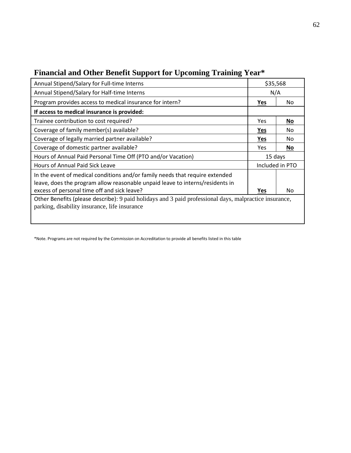| Annual Stipend/Salary for Full-time Interns                                                                                                                                                                  | \$35,568        |     |
|--------------------------------------------------------------------------------------------------------------------------------------------------------------------------------------------------------------|-----------------|-----|
| Annual Stipend/Salary for Half-time Interns                                                                                                                                                                  | N/A             |     |
| Program provides access to medical insurance for intern?                                                                                                                                                     | <b>Yes</b>      | No. |
| If access to medical insurance is provided:                                                                                                                                                                  |                 |     |
| Trainee contribution to cost required?                                                                                                                                                                       | <b>Yes</b>      | No  |
| Coverage of family member(s) available?                                                                                                                                                                      | Yes             | No. |
| Coverage of legally married partner available?                                                                                                                                                               | <b>Yes</b>      | No  |
| Coverage of domestic partner available?                                                                                                                                                                      | <b>Yes</b>      | No  |
| Hours of Annual Paid Personal Time Off (PTO and/or Vacation)                                                                                                                                                 | 15 days         |     |
| Hours of Annual Paid Sick Leave                                                                                                                                                                              | Included in PTO |     |
| In the event of medical conditions and/or family needs that require extended<br>leave, does the program allow reasonable unpaid leave to interns/residents in<br>excess of personal time off and sick leave? | Yes             | No  |
| Other Benefits (please describe): 9 paid holidays and 3 paid professional days, malpractice insurance,                                                                                                       |                 |     |
| parking, disability insurance, life insurance                                                                                                                                                                |                 |     |

# **Financial and Other Benefit Support for Upcoming Training Year\***

\*Note. Programs are not required by the Commission on Accreditation to provide all benefits listed in this table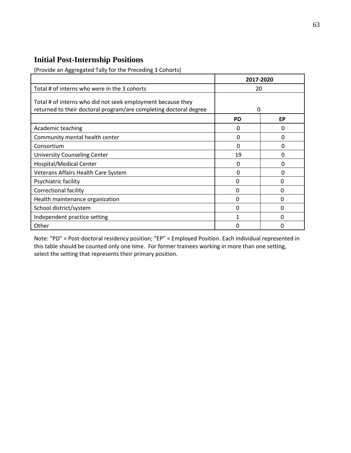# **Initial Post-Internship Positions**

(Provide an Aggregated Tally for the Preceding 3 Cohorts)

|                                                                                                                                  | 2017-2020 |    |
|----------------------------------------------------------------------------------------------------------------------------------|-----------|----|
| Total # of interns who were in the 3 cohorts                                                                                     | 20        |    |
| Total # of interns who did not seek employment because they<br>returned to their doctoral program/are completing doctoral degree | O         |    |
|                                                                                                                                  | <b>PD</b> | EP |
| Academic teaching                                                                                                                | O         | O  |
| Community mental health center                                                                                                   | 0         | O  |
| Consortium                                                                                                                       | 0         | 0  |
| <b>University Counseling Center</b>                                                                                              | 19        | O  |
| Hospital/Medical Center                                                                                                          | 0         | O  |
| Veterans Affairs Health Care System                                                                                              | 0         | O  |
| Psychiatric facility                                                                                                             | 0         | ი  |
| <b>Correctional facility</b>                                                                                                     | 0         | 0  |
| Health maintenance organization                                                                                                  | 0         | O  |
| School district/system                                                                                                           | 0         | 0  |
| Independent practice setting                                                                                                     |           | O  |
| Other                                                                                                                            | 0         | ŋ  |

Note: "PD" = Post-doctoral residency position; "EP" = Employed Position. Each individual represented in this table should be counted only one time. For former trainees working in more than one setting, select the setting that represents their primary position.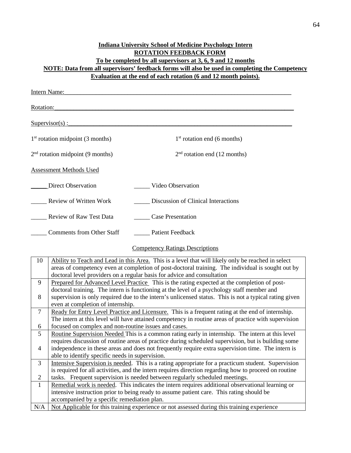## **Indiana University School of Medicine Psychology Intern ROTATION FEEDBACK FORM To be completed by all supervisors at 3, 6, 9 and 12 months NOTE: Data from all supervisors' feedback forms will also be used in completing the Competency Evaluation at the end of each rotation (6 and 12 month points).**

| Intern Name:                       |                                        |
|------------------------------------|----------------------------------------|
| Rotation:                          |                                        |
| $Supervisor(s)$ :                  |                                        |
| $1st$ rotation midpoint (3 months) | $1st$ rotation end (6 months)          |
| $2nd$ rotation midpoint (9 months) | $2nd$ rotation end (12 months)         |
| <b>Assessment Methods Used</b>     |                                        |
| <b>Direct Observation</b>          | Video Observation                      |
| <b>Review of Written Work</b>      | Discussion of Clinical Interactions    |
| <b>Review of Raw Test Data</b>     | <b>Case Presentation</b>               |
| <b>Comments from Other Staff</b>   | <b>Patient Feedback</b>                |
|                                    | <b>Competency Ratings Descriptions</b> |

| 10             | Ability to Teach and Lead in this Area. This is a level that will likely only be reached in select     |
|----------------|--------------------------------------------------------------------------------------------------------|
|                | areas of competency even at completion of post-doctoral training. The individual is sought out by      |
|                | doctoral level providers on a regular basis for advice and consultation                                |
| 9              | Prepared for Advanced Level Practice This is the rating expected at the completion of post-            |
|                | doctoral training. The intern is functioning at the level of a psychology staff member and             |
| 8              | supervision is only required due to the intern's unlicensed status. This is not a typical rating given |
|                | even at completion of internship.                                                                      |
| $\overline{7}$ | Ready for Entry Level Practice and Licensure. This is a frequent rating at the end of internship.      |
|                | The intern at this level will have attained competency in routine areas of practice with supervision   |
| 6              | focused on complex and non-routine issues and cases.                                                   |
| 5              | Routine Supervision Needed This is a common rating early in internship. The intern at this level       |
|                | requires discussion of routine areas of practice during scheduled supervision, but is building some    |
| $\overline{4}$ | independence in these areas and does not frequently require extra supervision time. The intern is      |
|                | able to identify specific needs in supervision.                                                        |
| 3              | Intensive Supervision is needed. This is a rating appropriate for a practicum student. Supervision     |
|                | is required for all activities, and the intern requires direction regarding how to proceed on routine  |
| 2              | tasks. Frequent supervision is needed between regularly scheduled meetings.                            |
| $\mathbf{1}$   | Remedial work is needed. This indicates the intern requires additional observational learning or       |
|                | intensive instruction prior to being ready to assume patient care. This rating should be               |
|                | accompanied by a specific remediation plan.                                                            |
| N/A            | Not Applicable for this training experience or not assessed during this training experience            |
|                |                                                                                                        |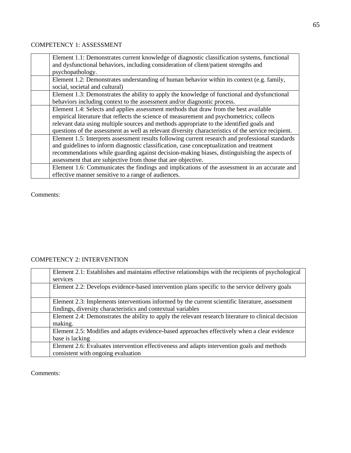### COMPETENCY 1: ASSESSMENT

| Element 1.1: Demonstrates current knowledge of diagnostic classification systems, functional<br>and dysfunctional behaviors, including consideration of client/patient strengths and |
|--------------------------------------------------------------------------------------------------------------------------------------------------------------------------------------|
| psychopathology.                                                                                                                                                                     |
| Element 1.2: Demonstrates understanding of human behavior within its context (e.g. family,                                                                                           |
| social, societal and cultural)                                                                                                                                                       |
| Element 1.3: Demonstrates the ability to apply the knowledge of functional and dysfunctional                                                                                         |
| behaviors including context to the assessment and/or diagnostic process.                                                                                                             |
| Element 1.4: Selects and applies assessment methods that draw from the best available                                                                                                |
| empirical literature that reflects the science of measurement and psychometrics; collects                                                                                            |
| relevant data using multiple sources and methods appropriate to the identified goals and                                                                                             |
| questions of the assessment as well as relevant diversity characteristics of the service recipient.                                                                                  |
| Element 1.5: Interprets assessment results following current research and professional standards                                                                                     |
| and guidelines to inform diagnostic classification, case conceptualization and treatment                                                                                             |
| recommendations while guarding against decision-making biases, distinguishing the aspects of                                                                                         |
| assessment that are subjective from those that are objective.                                                                                                                        |
| Element 1.6: Communicates the findings and implications of the assessment in an accurate and                                                                                         |
| effective manner sensitive to a range of audiences.                                                                                                                                  |

Comments:

# COMPETENCY 2: INTERVENTION

| Element 2.1: Establishes and maintains effective relationships with the recipients of psychological<br>services                                                 |
|-----------------------------------------------------------------------------------------------------------------------------------------------------------------|
| Element 2.2: Develops evidence-based intervention plans specific to the service delivery goals                                                                  |
| Element 2.3: Implements interventions informed by the current scientific literature, assessment<br>findings, diversity characteristics and contextual variables |
| Element 2.4: Demonstrates the ability to apply the relevant research literature to clinical decision<br>making.                                                 |
| Element 2.5: Modifies and adapts evidence-based approaches effectively when a clear evidence<br>base is lacking                                                 |
| Element 2.6: Evaluates intervention effectiveness and adapts intervention goals and methods<br>consistent with ongoing evaluation                               |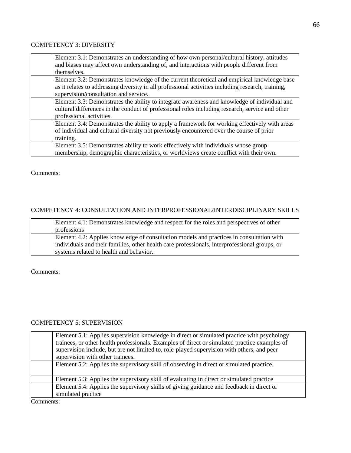### COMPETENCY 3: DIVERSITY

| Element 3.1: Demonstrates an understanding of how own personal/cultural history, attitudes<br>and biases may affect own understanding of, and interactions with people different from<br>themselves.                                       |
|--------------------------------------------------------------------------------------------------------------------------------------------------------------------------------------------------------------------------------------------|
| Element 3.2: Demonstrates knowledge of the current theoretical and empirical knowledge base<br>as it relates to addressing diversity in all professional activities including research, training,<br>supervision/consultation and service. |
| Element 3.3: Demonstrates the ability to integrate awareness and knowledge of individual and<br>cultural differences in the conduct of professional roles including research, service and other<br>professional activities.                |
| Element 3.4: Demonstrates the ability to apply a framework for working effectively with areas<br>of individual and cultural diversity not previously encountered over the course of prior<br>training.                                     |
| Element 3.5: Demonstrates ability to work effectively with individuals whose group<br>membership, demographic characteristics, or worldviews create conflict with their own.                                                               |

#### Comments:

## COMPETENCY 4: CONSULTATION AND INTERPROFESSIONAL/INTERDISCIPLINARY SKILLS

| Element 4.1: Demonstrates knowledge and respect for the roles and perspectives of other       |
|-----------------------------------------------------------------------------------------------|
| professions                                                                                   |
| Element 4.2: Applies knowledge of consultation models and practices in consultation with      |
| individuals and their families, other health care professionals, interprofessional groups, or |
| systems related to health and behavior.                                                       |

Comments:

### COMPETENCY 5: SUPERVISION

|        | Element 5.1: Applies supervision knowledge in direct or simulated practice with psychology<br>trainees, or other health professionals. Examples of direct or simulated practice examples of<br>supervision include, but are not limited to, role-played supervision with others, and peer<br>supervision with other trainees. |
|--------|-------------------------------------------------------------------------------------------------------------------------------------------------------------------------------------------------------------------------------------------------------------------------------------------------------------------------------|
|        | Element 5.2: Applies the supervisory skill of observing in direct or simulated practice.                                                                                                                                                                                                                                      |
|        | Element 5.3: Applies the supervisory skill of evaluating in direct or simulated practice                                                                                                                                                                                                                                      |
|        | Element 5.4: Applies the supervisory skills of giving guidance and feedback in direct or<br>simulated practice                                                                                                                                                                                                                |
| $\sim$ |                                                                                                                                                                                                                                                                                                                               |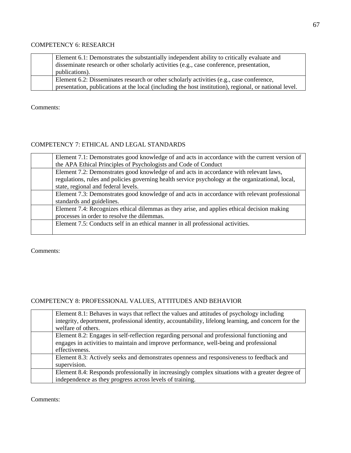### COMPETENCY 6: RESEARCH

| Element 6.1: Demonstrates the substantially independent ability to critically evaluate and<br>disseminate research or other scholarly activities (e.g., case conference, presentation,<br>publications). |
|----------------------------------------------------------------------------------------------------------------------------------------------------------------------------------------------------------|
| Element 6.2: Disseminates research or other scholarly activities (e.g., case conference,<br>presentation, publications at the local (including the host institution), regional, or national level.       |

Comments:

### COMPETENCY 7: ETHICAL AND LEGAL STANDARDS

| Element 7.1: Demonstrates good knowledge of and acts in accordance with the current version of    |
|---------------------------------------------------------------------------------------------------|
| the APA Ethical Principles of Psychologists and Code of Conduct                                   |
| Element 7.2: Demonstrates good knowledge of and acts in accordance with relevant laws,            |
| regulations, rules and policies governing health service psychology at the organizational, local, |
| state, regional and federal levels.                                                               |
| Element 7.3: Demonstrates good knowledge of and acts in accordance with relevant professional     |
| standards and guidelines.                                                                         |
| Element 7.4: Recognizes ethical dilemmas as they arise, and applies ethical decision making       |
| processes in order to resolve the dilemmas.                                                       |
| Element 7.5: Conducts self in an ethical manner in all professional activities.                   |
|                                                                                                   |

Comments:

## COMPETENCY 8: PROFESSIONAL VALUES, ATTITUDES AND BEHAVIOR

| Element 8.1: Behaves in ways that reflect the values and attitudes of psychology including<br>integrity, deportment, professional identity, accountability, lifelong learning, and concern for the<br>welfare of others. |
|--------------------------------------------------------------------------------------------------------------------------------------------------------------------------------------------------------------------------|
| Element 8.2: Engages in self-reflection regarding personal and professional functioning and<br>engages in activities to maintain and improve performance, well-being and professional<br>effectiveness.                  |
| Element 8.3: Actively seeks and demonstrates openness and responsiveness to feedback and<br>supervision.                                                                                                                 |
| Element 8.4: Responds professionally in increasingly complex situations with a greater degree of<br>independence as they progress across levels of training.                                                             |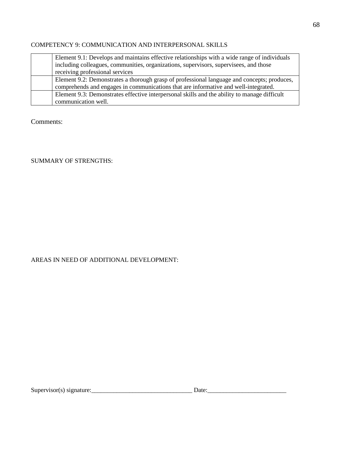### COMPETENCY 9: COMMUNICATION AND INTERPERSONAL SKILLS

| Element 9.1: Develops and maintains effective relationships with a wide range of individuals |
|----------------------------------------------------------------------------------------------|
| including colleagues, communities, organizations, supervisors, supervisees, and those        |
| receiving professional services                                                              |
| Element 9.2: Demonstrates a thorough grasp of professional language and concepts; produces,  |
| comprehends and engages in communications that are informative and well-integrated.          |
| Element 9.3: Demonstrates effective interpersonal skills and the ability to manage difficult |
| communication well.                                                                          |

Comments:

# SUMMARY OF STRENGTHS:

## AREAS IN NEED OF ADDITIONAL DEVELOPMENT: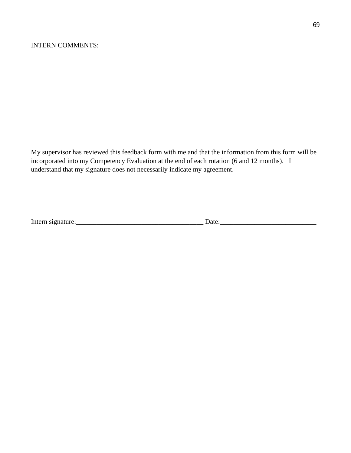My supervisor has reviewed this feedback form with me and that the information from this form will be incorporated into my Competency Evaluation at the end of each rotation (6 and 12 months). I understand that my signature does not necessarily indicate my agreement.

| $\mathbf{r}$<br>Intern sign<br>чианн | - ізне |
|--------------------------------------|--------|
|--------------------------------------|--------|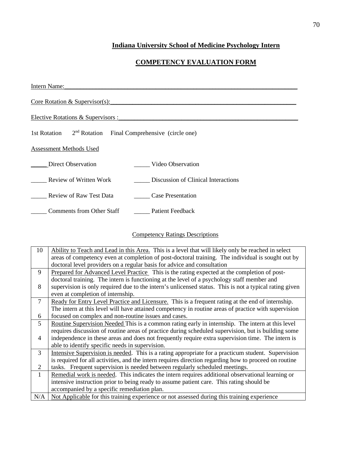# **Indiana University School of Medicine Psychology Intern**

# **COMPETENCY EVALUATION FORM**

| Intern Name:                                                              |  |  |
|---------------------------------------------------------------------------|--|--|
| Core Rotation & Supervisor(s):                                            |  |  |
| Elective Rotations & Supervisors :                                        |  |  |
| 2 <sup>nd</sup> Rotation Final Comprehensive (circle one)<br>1st Rotation |  |  |
| Assessment Methods Used                                                   |  |  |
| Direct Observation<br>Video Observation                                   |  |  |
| Discussion of Clinical Interactions<br>Review of Written Work             |  |  |
| Review of Raw Test Data<br><b>Case Presentation</b>                       |  |  |
| Comments from Other Staff<br><b>Patient Feedback</b>                      |  |  |

# Competency Ratings Descriptions

| 10             | Ability to Teach and Lead in this Area. This is a level that will likely only be reached in select     |
|----------------|--------------------------------------------------------------------------------------------------------|
|                | areas of competency even at completion of post-doctoral training. The individual is sought out by      |
|                | doctoral level providers on a regular basis for advice and consultation                                |
| 9              | Prepared for Advanced Level Practice This is the rating expected at the completion of post-            |
|                | doctoral training. The intern is functioning at the level of a psychology staff member and             |
| 8              | supervision is only required due to the intern's unlicensed status. This is not a typical rating given |
|                | even at completion of internship.                                                                      |
| $\tau$         | Ready for Entry Level Practice and Licensure. This is a frequent rating at the end of internship.      |
|                | The intern at this level will have attained competency in routine areas of practice with supervision   |
| 6              | focused on complex and non-routine issues and cases.                                                   |
| 5              | Routine Supervision Needed This is a common rating early in internship. The intern at this level       |
|                | requires discussion of routine areas of practice during scheduled supervision, but is building some    |
| $\overline{4}$ | independence in these areas and does not frequently require extra supervision time. The intern is      |
|                | able to identify specific needs in supervision.                                                        |
| 3              | Intensive Supervision is needed. This is a rating appropriate for a practicum student. Supervision     |
|                | is required for all activities, and the intern requires direction regarding how to proceed on routine  |
| 2              | tasks. Frequent supervision is needed between regularly scheduled meetings.                            |
| $\mathbf{1}$   | Remedial work is needed. This indicates the intern requires additional observational learning or       |
|                | intensive instruction prior to being ready to assume patient care. This rating should be               |
|                | accompanied by a specific remediation plan.                                                            |
| N/A            | Not Applicable for this training experience or not assessed during this training experience            |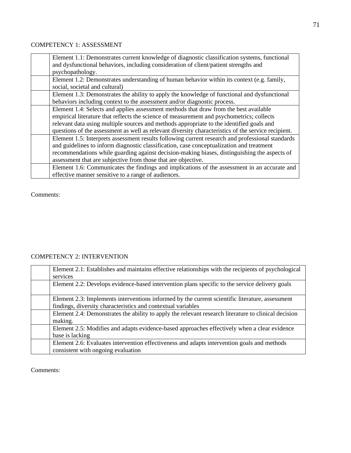### COMPETENCY 1: ASSESSMENT

| Element 1.1: Demonstrates current knowledge of diagnostic classification systems, functional<br>and dysfunctional behaviors, including consideration of client/patient strengths and |
|--------------------------------------------------------------------------------------------------------------------------------------------------------------------------------------|
| psychopathology.                                                                                                                                                                     |
| Element 1.2: Demonstrates understanding of human behavior within its context (e.g. family,                                                                                           |
| social, societal and cultural)                                                                                                                                                       |
| Element 1.3: Demonstrates the ability to apply the knowledge of functional and dysfunctional                                                                                         |
| behaviors including context to the assessment and/or diagnostic process.                                                                                                             |
| Element 1.4: Selects and applies assessment methods that draw from the best available                                                                                                |
| empirical literature that reflects the science of measurement and psychometrics; collects                                                                                            |
| relevant data using multiple sources and methods appropriate to the identified goals and                                                                                             |
| questions of the assessment as well as relevant diversity characteristics of the service recipient.                                                                                  |
| Element 1.5: Interprets assessment results following current research and professional standards                                                                                     |
| and guidelines to inform diagnostic classification, case conceptualization and treatment                                                                                             |
| recommendations while guarding against decision-making biases, distinguishing the aspects of                                                                                         |
| assessment that are subjective from those that are objective.                                                                                                                        |
| Element 1.6: Communicates the findings and implications of the assessment in an accurate and                                                                                         |
| effective manner sensitive to a range of audiences.                                                                                                                                  |

Comments:

# COMPETENCY 2: INTERVENTION

| Element 2.1: Establishes and maintains effective relationships with the recipients of psychological<br>services                                                 |
|-----------------------------------------------------------------------------------------------------------------------------------------------------------------|
| Element 2.2: Develops evidence-based intervention plans specific to the service delivery goals                                                                  |
| Element 2.3: Implements interventions informed by the current scientific literature, assessment<br>findings, diversity characteristics and contextual variables |
| Element 2.4: Demonstrates the ability to apply the relevant research literature to clinical decision<br>making.                                                 |
| Element 2.5: Modifies and adapts evidence-based approaches effectively when a clear evidence<br>base is lacking                                                 |
| Element 2.6: Evaluates intervention effectiveness and adapts intervention goals and methods<br>consistent with ongoing evaluation                               |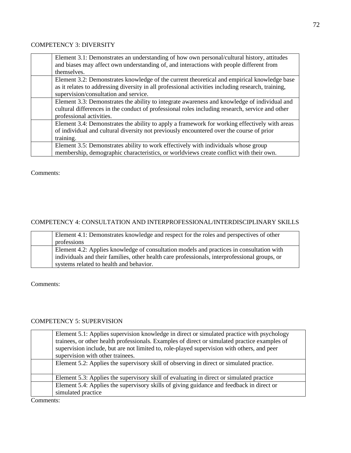### COMPETENCY 3: DIVERSITY

| Element 3.1: Demonstrates an understanding of how own personal/cultural history, attitudes         |
|----------------------------------------------------------------------------------------------------|
| and biases may affect own understanding of, and interactions with people different from            |
| themselves.                                                                                        |
| Element 3.2: Demonstrates knowledge of the current theoretical and empirical knowledge base        |
| as it relates to addressing diversity in all professional activities including research, training, |
| supervision/consultation and service.                                                              |
|                                                                                                    |
| Element 3.3: Demonstrates the ability to integrate awareness and knowledge of individual and       |
| cultural differences in the conduct of professional roles including research, service and other    |
| professional activities.                                                                           |
| Element 3.4: Demonstrates the ability to apply a framework for working effectively with areas      |
| of individual and cultural diversity not previously encountered over the course of prior           |
| training.                                                                                          |
| Element 3.5: Demonstrates ability to work effectively with individuals whose group                 |
| membership, demographic characteristics, or worldviews create conflict with their own.             |

Comments:

# COMPETENCY 4: CONSULTATION AND INTERPROFESSIONAL/INTERDISCIPLINARY SKILLS

| Element 4.1: Demonstrates knowledge and respect for the roles and perspectives of other<br>professions                                                                                    |
|-------------------------------------------------------------------------------------------------------------------------------------------------------------------------------------------|
| Element 4.2: Applies knowledge of consultation models and practices in consultation with<br>individuals and their families, other health care professionals, interprofessional groups, or |
| systems related to health and behavior.                                                                                                                                                   |

Comments:

# COMPETENCY 5: SUPERVISION

|        | Element 5.1: Applies supervision knowledge in direct or simulated practice with psychology<br>trainees, or other health professionals. Examples of direct or simulated practice examples of<br>supervision include, but are not limited to, role-played supervision with others, and peer<br>supervision with other trainees. |
|--------|-------------------------------------------------------------------------------------------------------------------------------------------------------------------------------------------------------------------------------------------------------------------------------------------------------------------------------|
|        | Element 5.2: Applies the supervisory skill of observing in direct or simulated practice.                                                                                                                                                                                                                                      |
|        | Element 5.3: Applies the supervisory skill of evaluating in direct or simulated practice                                                                                                                                                                                                                                      |
|        | Element 5.4: Applies the supervisory skills of giving guidance and feedback in direct or<br>simulated practice                                                                                                                                                                                                                |
| $\sim$ |                                                                                                                                                                                                                                                                                                                               |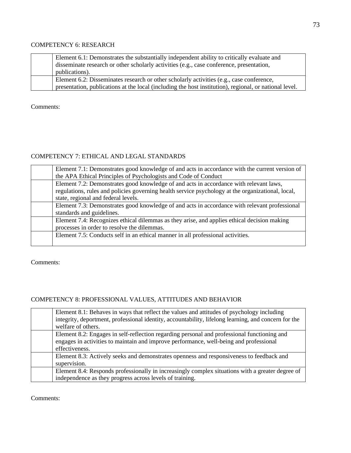## COMPETENCY 6: RESEARCH

| Element 6.1: Demonstrates the substantially independent ability to critically evaluate and<br>disseminate research or other scholarly activities (e.g., case conference, presentation,<br>publications). |
|----------------------------------------------------------------------------------------------------------------------------------------------------------------------------------------------------------|
| Element 6.2: Disseminates research or other scholarly activities (e.g., case conference,<br>presentation, publications at the local (including the host institution), regional, or national level.       |

Comments:

## COMPETENCY 7: ETHICAL AND LEGAL STANDARDS

| Element 7.1: Demonstrates good knowledge of and acts in accordance with the current version of    |
|---------------------------------------------------------------------------------------------------|
| the APA Ethical Principles of Psychologists and Code of Conduct                                   |
| Element 7.2: Demonstrates good knowledge of and acts in accordance with relevant laws,            |
| regulations, rules and policies governing health service psychology at the organizational, local, |
| state, regional and federal levels.                                                               |
| Element 7.3: Demonstrates good knowledge of and acts in accordance with relevant professional     |
| standards and guidelines.                                                                         |
| Element 7.4: Recognizes ethical dilemmas as they arise, and applies ethical decision making       |
| processes in order to resolve the dilemmas.                                                       |
| Element 7.5: Conducts self in an ethical manner in all professional activities.                   |
|                                                                                                   |

Comments:

# COMPETENCY 8: PROFESSIONAL VALUES, ATTITUDES AND BEHAVIOR

| Element 8.1: Behaves in ways that reflect the values and attitudes of psychology including<br>integrity, deportment, professional identity, accountability, lifelong learning, and concern for the<br>welfare of others. |
|--------------------------------------------------------------------------------------------------------------------------------------------------------------------------------------------------------------------------|
| Element 8.2: Engages in self-reflection regarding personal and professional functioning and<br>engages in activities to maintain and improve performance, well-being and professional<br>effectiveness.                  |
| Element 8.3: Actively seeks and demonstrates openness and responsiveness to feedback and<br>supervision.                                                                                                                 |
| Element 8.4: Responds professionally in increasingly complex situations with a greater degree of<br>independence as they progress across levels of training.                                                             |

Comments: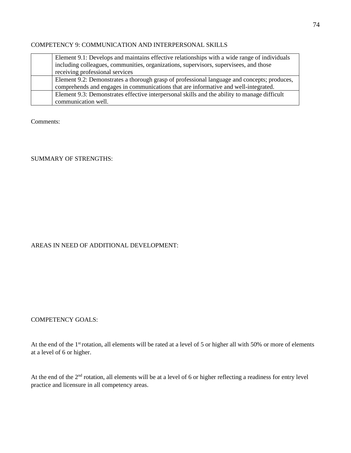#### COMPETENCY 9: COMMUNICATION AND INTERPERSONAL SKILLS

| Element 9.1: Develops and maintains effective relationships with a wide range of individuals |
|----------------------------------------------------------------------------------------------|
| including colleagues, communities, organizations, supervisors, supervisees, and those        |
| receiving professional services                                                              |
| Element 9.2: Demonstrates a thorough grasp of professional language and concepts; produces,  |
| comprehends and engages in communications that are informative and well-integrated.          |
| Element 9.3: Demonstrates effective interpersonal skills and the ability to manage difficult |
| communication well.                                                                          |

Comments:

## SUMMARY OF STRENGTHS:

# AREAS IN NEED OF ADDITIONAL DEVELOPMENT:

#### COMPETENCY GOALS:

At the end of the 1<sup>st</sup> rotation, all elements will be rated at a level of 5 or higher all with 50% or more of elements at a level of 6 or higher.

At the end of the 2<sup>nd</sup> rotation, all elements will be at a level of 6 or higher reflecting a readiness for entry level practice and licensure in all competency areas.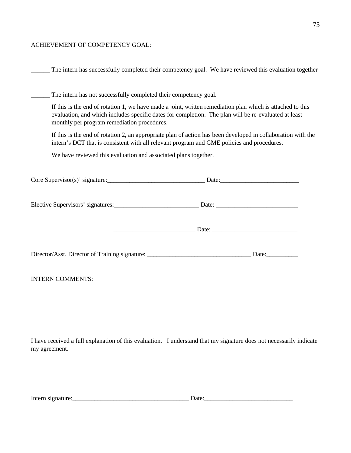#### ACHIEVEMENT OF COMPETENCY GOAL:

The intern has successfully completed their competency goal. We have reviewed this evaluation together

The intern has not successfully completed their competency goal.

If this is the end of rotation 1, we have made a joint, written remediation plan which is attached to this evaluation, and which includes specific dates for completion. The plan will be re-evaluated at least monthly per program remediation procedures.

If this is the end of rotation 2, an appropriate plan of action has been developed in collaboration with the intern's DCT that is consistent with all relevant program and GME policies and procedures.

We have reviewed this evaluation and associated plans together.

| <b>INTERN COMMENTS:</b> |  |
|-------------------------|--|
|                         |  |

I have received a full explanation of this evaluation. I understand that my signature does not necessarily indicate my agreement.

| Intern<br>$\sim$ 1 $\vee$<br>. |  |
|--------------------------------|--|
|                                |  |